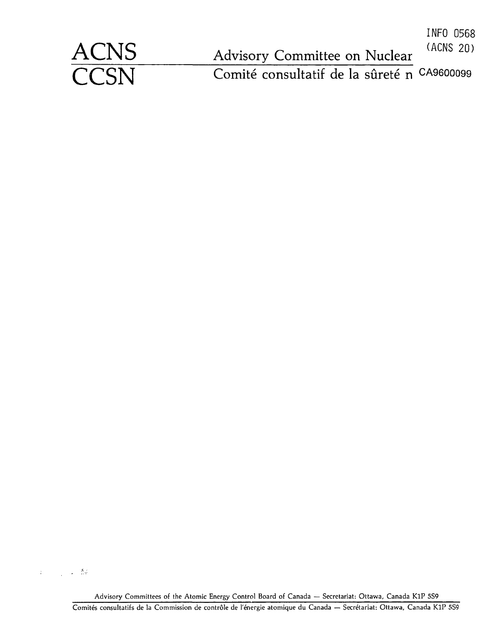|             |                                             | INFO 0568<br>(ACNS 20) |
|-------------|---------------------------------------------|------------------------|
| <b>ACNS</b> | Advisory Committee on Nuclear               |                        |
| <b>CCSN</b> | Comité consultatif de la sûreté n CA9600099 |                        |

 $\label{eq:3.1} \left\langle \begin{array}{cc} \ddot{\rho} & \ddots & \ddots \\ \ddot{\rho} & \ddots & \ddots \\ \ddot{\rho} & \ddots & \ddots \end{array} \right\rangle_{\rm{QCD}} = \frac{K_{\rm{QCD}}}{\sqrt{2}}$ 

Advisory Committees of the Atomic Energy Control Board of Canada — Secretariat: Ottawa, Canada KIP 5S9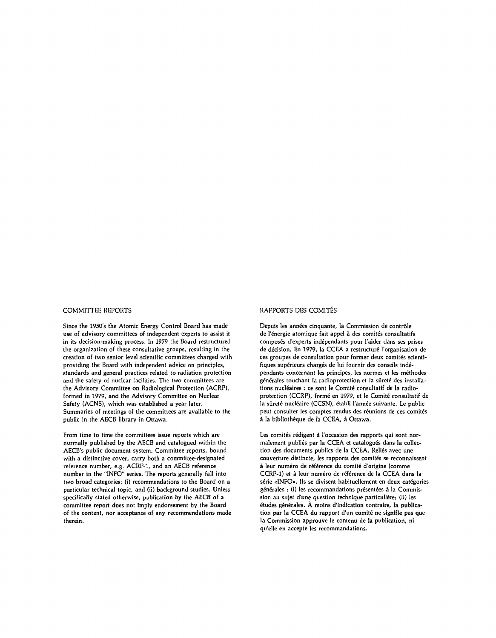Since the 1950's the Atomic Energy Control Board has made use of advisory committees of independent experts to assist it in its decision-making process. In 1979 the Board restructured the organization of these consultative groups, resulting in the creation of two senior level scientific committees charged with providing the Board with independent advice on principles, standards and general practices related to radiation protection and the safety of nuclear facilities. The two committees are the Advisory Committee on Radiological Protection (ACRP), formed in 1979, and the Advisory Committee on Nuclear Safety (ACNS), which was established a year later. Summaries of meetings of the committees are available to the public in the AECB library in Ottawa.

From time to time the committees issue reports which are normally published by the AECB and catalogued within the AECB's public document system. Committee reports, bound with a distinctive cover, carry both a committee-designated reference number, e.g. ACRP-1, and an AECB reference number in the "INFO" series. The reports generally fall into two broad categories: (i) recommendations to the Board on a particular technical topic, and (ii) background studies. Unless specifically stated otherwise, publication by the AECB of a committee report does not imply endorsement by the Board of the content, nor acceptance of any recommendations made therein.

#### COMMITTEE REPORTS COMMITTEE REPORTS DES COMITÉS

Depuis les années cinquante, la Commission de contrôle de l'énergie atomique fait appel à des comités consultatifs composés d'experts indépendants pour l'aider dans ses prises de décision. En 1979, la CCEA a restructuré l'organisation de ces groupes de consultation pour former deux comités scientifiques supérieurs chargés de lui fournir des conseils indépendants concernant les principes, les normes et les méthodes générales touchant la radioprotection et la sûreté des installations nucléaires : ce sont le Comité consultatif de la radioprotection (CCRP), formé en 1979, et le Comité consultatif de la sûreté nucléaire (CCSN), établi l'année suivante. Le public peut consulter les comptes rendus des réunions de ces comités à la bibliothèque de la CCEA, à Ottawa.

Les comités rédigent à l'occasion des rapports qui sont normalement publiés par la CCEA et catalogués dans la collection des documents publics de la CCEA. Reliés avec une couverture distincte, les rapports *des* comités se reconnaissent à leur numéro de référence du comité d'origine (comme CCRP-1) et à leur numéro de référence de la CCEA dans la série «INFO». Ils se divisent habituellement en deux catégories générales : (i) les recommandations présentées à la Commission au sujet d'une question technique particulière; (ii) les études générales. À moins d'indication contraire, la publication par la CCEA du rapport d'un comité ne signifie pas que la Commission approuve le contenu de la publication, ni qu'elle en accepte les recommandations.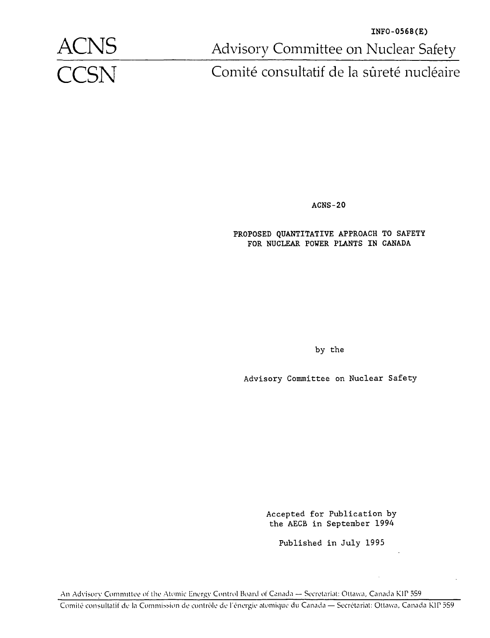

**INFO-0568(E) ACNS** Advisory Committee on Nuclear Safety<br> **CCSN** Comité consultatif de la sûreté nucléaire

Comité consultatif de la sûreté nucléaire

ACNS-20

PROPOSED QUANTITATIVE APPROACH TO SAFETY FOR NUCLEAR POWER PLANTS IN CANADA

by the

Advisory Committee on Nuclear Safety

Accepted for Publication by the AECB in September 1994

Published in July 1995

An Advisory Committee of the Atomic Energy Control Board of Canada — Secrétariat: Ottawa, Canada KIP 559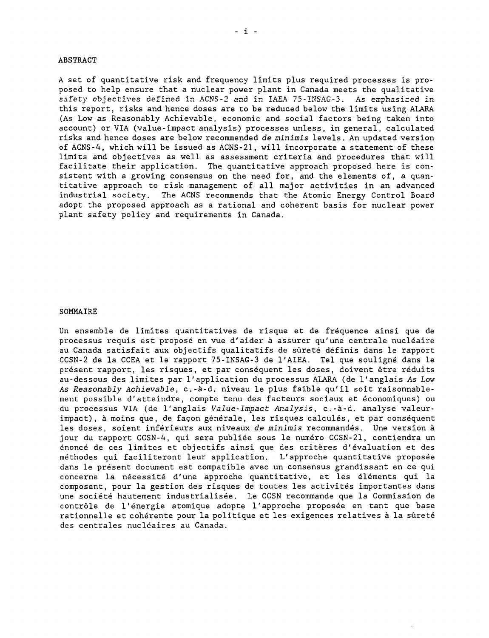#### ABSTRACT

A set of quantitative risk and frequency limits plus required processes is proposed to help ensure that a nuclear power plant in Canada meets the qualitative safety objectives defined in ACNS-2 and in IAEA 75-INSAG-3. As emphasized in this report, risks and hence doses are to be reduced below the limits using ALARA (As Low as Reasonably Achievable, economic and social factors being taken into account) or VIA (value-impact analysis) processes unless, in general, calculated risks and hence doses are below recommended de minimis levels. An updated version of ACNS-4, which will be issued as ACNS-21, will incorporate a statement of these limits and objectives as well as assessment criteria and procedures that will facilitate their application. The quantitative approach proposed here is consistent with a growing consensus on the need for, and the elements of, a quantitative approach to risk management of all major activities in an advanced industrial society. The ACNS recommends that the Atomic Energy Control Board adopt the proposed approach as a rational and coherent basis for nuclear power plant safety policy and requirements in Canada.

#### SOMMAIRE

Un ensemble de limites quantitatives de risque et de fréquence ainsi que de processus requis est proposé en vue d'aider à assurer qu'une centrale nucléaire au Canada satisfait aux objectifs qualitatifs de sûreté définis dans le rapport CCSN-2 de la CCEA et le rapport 75-INSAG-3 de l'AIEA. Tel que souligné dans le présent rapport, les risques, et par conséquent les doses, doivent être réduits au-dessous des limites par l'application du processus ALARA (de l'anglais As Low As Reasonably Achievable, c.-à-d. niveau le plus faible qu'il soit raisonnablement possible d'atteindre, compte tenu des facteurs sociaux et économiques) ou du processus VIA (de l'anglais Value-Impact Analysis, c.-à-d. analyse valeurimpact), à moins que, de façon générale, les risques calculés, et par conséquent les doses, soient inférieurs aux niveaux de minimis recommandés. Une version à jour du rapport CCSN-4, qui sera publiée sous le numéro CCSN-21, contiendra un énoncé de ces limites et objectifs ainsi que des critères d'évaluation et des méthodes qui faciliteront leur application. L'approche quantitative proposée dans le présent document est compatible avec un consensus grandissant en ce qui concerne la nécessité d'une approche quantitative, et les éléments qui la composent, pour la gestion des risques de toutes les activités importantes dans une société hautement industrialisée. Le CCSN recommande que la Commission de contrôle de l'énergie atomique adopte l'approche proposée en tant que base rationnelle et cohérente pour la politique et les exigences relatives à la sûreté des centrales nucléaires au Canada.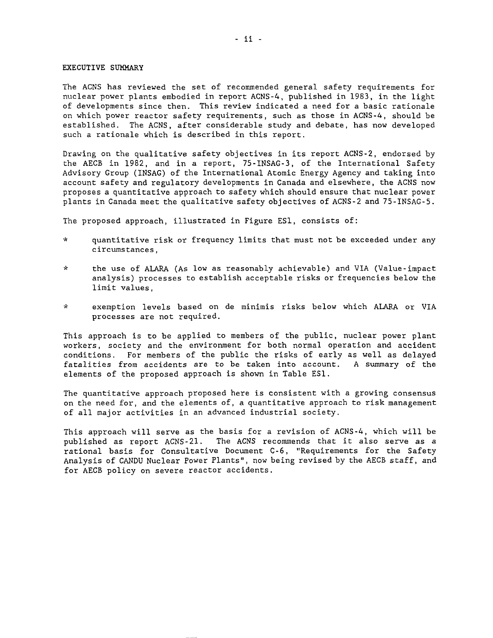#### EXECUTIVE SUMMARY

The ACNS has reviewed the set of recommended general safety requirements for nuclear power plants embodied in report ACNS-4, published in 1983, in the light of developments since then. This review indicated a need for a basic rationale on which power reactor safety requirements, such as those in ACNS-4, should be established. The ACNS, after considerable study and debate, has now developed such a rationale which is described in this report.

Drawing on the qualitative safety objectives in its report ACNS-2, endorsed by the AECB in 1982, and in a report, 75-INSAG-3, of the International Safety Advisory Group (INSAG) of the International Atomic Energy Agency and taking into account safety and regulatory developments in Canada and elsewhere, the ACNS now proposes a quantitative approach to safety which should ensure that nuclear power plants in Canada meet the qualitative safety objectives of ACNS-2 and 75-INSAG-5.

The proposed approach, illustrated in Figure ESI, consists of:

- \* quantitative risk or frequency limits that must not be exceeded under any circumstances,
- \* the use of ALARA (As low as reasonably achievable) and VIA (Value-impact analysis) processes to establish acceptable risks or frequencies below the limit values,
- \* exemption levels based on de minimis risks below which ALARA or VIA processes are not required.

This approach is to be applied to members of the public, nuclear power plant workers, society and the environment for both normal operation and accident conditions. For members of the public the risks of early as well as delayed fatalities from accidents are to be taken into account. A summary of the elements of the proposed approach is shown in Table ESI.

The quantitative approach proposed here is consistent with a growing consensus on the need for, and the elements of, a quantitative approach to risk management of all major activities in an advanced industrial society.

This approach will serve as the basis for a revision of ACNS-4, which will be published as report ACNS-21. The ACNS recommends that it also serve as a rational basis for Consultative Document C-6, "Requirements for the Safety Analysis of CANDU Nuclear Power Plants", now being revised by the AECB staff, and for AECB policy on severe reactor accidents.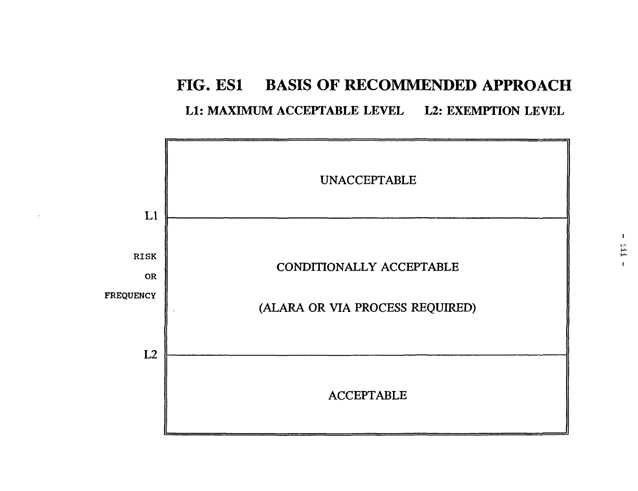# **FIG. ESI BASIS OF RECOMMENDED APPROACH** L1: MAXIMUM ACCEPTABLE LEVEL L2: EXEMPTION LEVEL

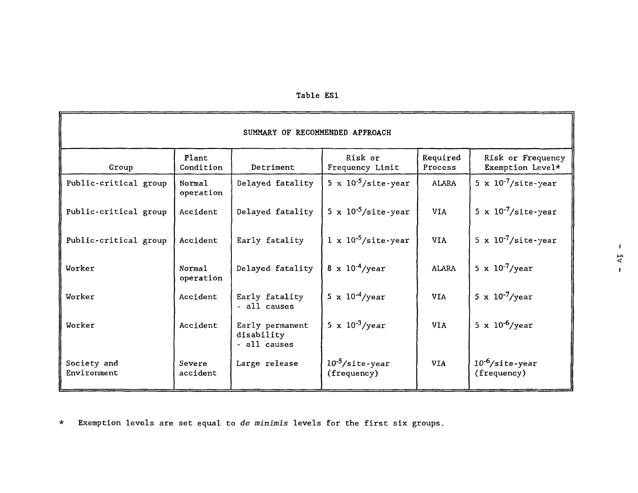| <b>Table</b> | ES 1 |
|--------------|------|
|--------------|------|

| SUMMARY OF RECOMMENDED APPROACH |                     |                                               |                                           |                     |                                           |  |
|---------------------------------|---------------------|-----------------------------------------------|-------------------------------------------|---------------------|-------------------------------------------|--|
| Group                           | Plant<br>Condition  | Detriment                                     | Risk or<br>Frequency Limit                | Required<br>Process | Risk or Frequency<br>Exemption Level*     |  |
| Public-critical group           | Normal<br>operation | Delayed fatality                              | 5 x $10^{-5}/\text{site-year}$            | <b>ALARA</b>        | 5 x $10^{-7}/\text{site-year}$            |  |
| Public-critical group           | Accident            | Delayed fatality                              | 5 x $10^{-5}/\text{site-year}$            | <b>VIA</b>          | 5 x $10^{-7}/\text{site-year}$            |  |
| Public-critical group           | Accident            | Early fatality                                | $1 \times 10^{-5}/\text{site-year}$       | <b>VIA</b>          | 5 x $10^{-7}/\text{site-year}$            |  |
| Worker                          | Normal<br>operation | Delayed fatality                              | $8 \times 10^{-4}$ /year                  | <b>ALARA</b>        | 5 x $10^{-7}$ /year                       |  |
| Worker                          | Accident            | Early fatality<br>- all causes                | 5 x $10^{-4}$ /year                       | <b>VIA</b>          | 5 x $10^{-7}$ /year                       |  |
| Worker                          | Accident            | Early permanent<br>disability<br>- all causes | 5 x $10^{-3}$ /year                       | <b>VIA</b>          | 5 x $10^{-6}$ /year                       |  |
| Society and<br>Environment      | Severe<br>accident  | Large release                                 | $10^{-5}/\text{site-year}$<br>(frequency) | <b>VIA</b>          | $10^{-6}/\text{site-year}$<br>(frequency) |  |

\* Exemption levels are set equal to de minimis levels for the first six groups.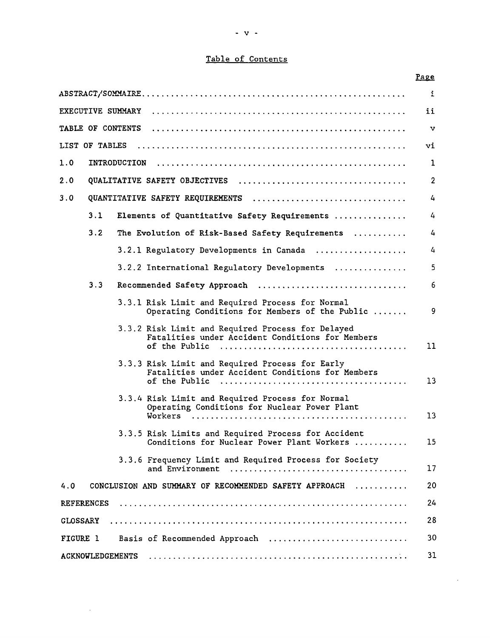# Table of Contents

|                   |                          |                                                                                                       | <u>Page</u>    |
|-------------------|--------------------------|-------------------------------------------------------------------------------------------------------|----------------|
|                   |                          |                                                                                                       | $\mathbf{1}$   |
|                   | EXECUTIVE SUMMARY        |                                                                                                       | ii             |
|                   | <b>TABLE OF CONTENTS</b> |                                                                                                       | $\mathbf{v}$   |
|                   | <b>LIST OF TABLES</b>    |                                                                                                       | vi             |
| 1.0               | INTRODUCTION             |                                                                                                       | 1              |
| 2.0               |                          |                                                                                                       | $\overline{2}$ |
| 3.0               |                          | QUANTITATIVE SAFETY REQUIREMENTS                                                                      | 4              |
| 3.1               |                          | Elements of Quantitative Safety Requirements                                                          | 4              |
| 3.2               |                          | The Evolution of Risk-Based Safety Requirements                                                       | 4              |
|                   |                          | 3.2.1 Regulatory Developments in Canada                                                               | 4              |
|                   |                          | 3.2.2 International Regulatory Developments                                                           | 5              |
| 3.3               |                          | Recommended Safety Approach                                                                           | 6              |
|                   |                          | 3.3.1 Risk Limit and Required Process for Normal<br>Operating Conditions for Members of the Public    | 9.             |
|                   |                          | 3.3.2 Risk Limit and Required Process for Delayed<br>Fatalities under Accident Conditions for Members | 11             |
|                   |                          | 3.3.3 Risk Limit and Required Process for Early<br>Fatalities under Accident Conditions for Members   | 13             |
|                   |                          | 3.3.4 Risk Limit and Required Process for Normal<br>Operating Conditions for Nuclear Power Plant      | 13             |
|                   |                          | 3.3.5 Risk Limits and Required Process for Accident<br>Conditions for Nuclear Power Plant Workers     | 15             |
|                   |                          | 3.3.6 Frequency Limit and Required Process for Society<br>and Environment                             | 17             |
| 4.0               |                          | CONCLUSION AND SUMMARY OF RECOMMENDED SAFETY APPROACH                                                 | 20             |
| <b>REFERENCES</b> |                          |                                                                                                       | 24             |
| CLOSSARY          |                          |                                                                                                       | 28             |
| FIGURE 1          |                          | Basis of Recommended Approach                                                                         | 30             |
|                   |                          |                                                                                                       | 31             |

 $\sim 10^{-11}$ 

 $\sim 10^{-11}$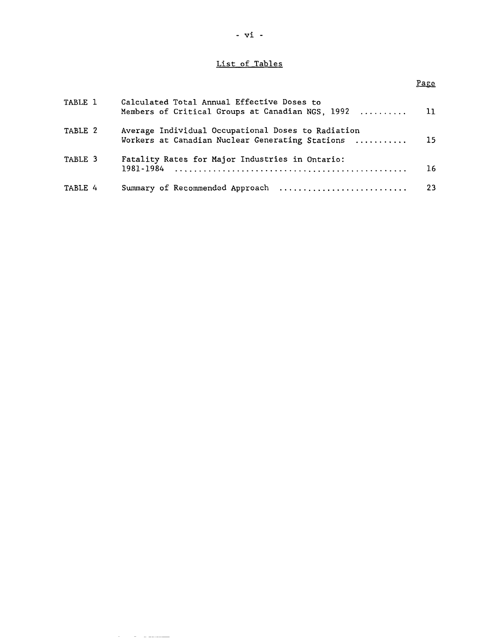# List of Tables

# Page

| TABLE 1 | Calculated Total Annual Effective Doses to<br>Members of Critical Groups at Canadian NGS, 1992        | $\overline{\phantom{1}}$ 11 |
|---------|-------------------------------------------------------------------------------------------------------|-----------------------------|
| TABLE 2 | Average Individual Occupational Doses to Radiation<br>Workers at Canadian Nuclear Generating Stations | -15                         |
| TABLE 3 | Fatality Rates for Major Industries in Ontario:                                                       | 16                          |
| TABLE 4 |                                                                                                       |                             |

**Service Communication** 

 $\sim$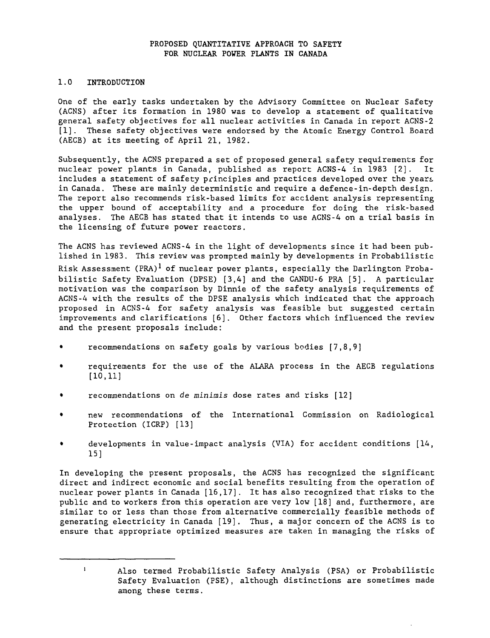# **PROPOSED QUANTITATIVE APPROACH TO SAFETY FOR NUCLEAR POWER PLANTS IN CANADA**

# 1.**0 INTRODUCTION**

One of the early tasks undertaken by the Advisory Committee on Nuclear Safety (ACNS) after its formation in 1980 was to develop a statement of qualitative general safety objectives for all nuclear activities in Canada in report ACNS-2 [1]. These safety objectives were endorsed by the Atomic Energy Control Board (AECB) at its meeting of April 21, 1982.

Subsequently, the ACNS prepared a set of proposed general safety requirements for nuclear power plants in Canada, published as report ACNS-4 in 1983 [2]. It includes a statement of safety principles and practices developed over the years in Canada. These are mainly deterministic and require a defence-in-depth design. The report also recommends risk-based limits for accident analysis representing the upper bound of acceptability and a procedure for doing the risk-based analyses. The AECB has stated that it intends to use ACNS-4 on a trial basis in the licensing of future power reactors.

The ACNS has reviewed ACNS-4 in the light of developments since it had been published in 1983. This review was prompted mainly by developments in Probabilistic Risk Assessment (PRA)<sup>1</sup> of nuclear power plants, especially the Darlington Probabilistic Safety Evaluation (DPSE) [3,4] and the CANDU-6 PRA [5]. A particular motivation was the comparison by Dinnie of the safety analysis requirements of ACNS-4 with the results of the DPSE analysis which indicated that the approach proposed in ACNS-4 for safety analysis was feasible but suggested certain improvements and clarifications [6]. Other factors which influenced the review and the present proposals include:

- recommendations on safety goals by various bodies  $[7,8,9]$
- requirements for the use of the ALARA process in the AECB regulations [10,11]
- recommendations on de minimis dose rates and risks [12]
- new recommendations of the International Commission on Radiological Protection (ICRP) [13]
- developments in value-impact analysis (VIA) for accident conditions [14, 15]

In developing the present proposals, the ACNS has recognized the significant direct and indirect economic and social benefits resulting from the operation of nuclear power plants in Canada [16,17]. It has also recognized that risks to the public and to workers from this operation are very low [18] and, furthermore, are similar to or less than those from alternative commercially feasible methods of generating electricity in Canada [19]. Thus, a major concern of the ACNS is to ensure that appropriate optimized measures are taken in managing the risks of

 $\mathbf{1}$ 

Also termed Probabilistic Safety Analysis (PSA) or Probabilistic Safety Evaluation (PSE), although distinctions are sometimes made among these terms.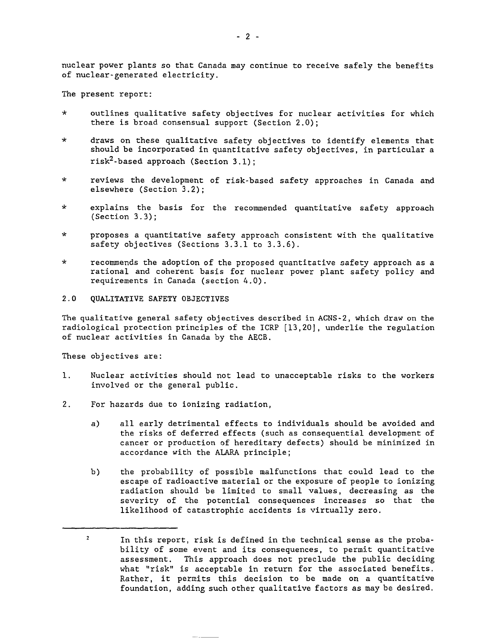nuclear power plants so that Canada may continue to receive safely the benefits of nuclear-generated electricity.

The present report:

- outlines qualitative safety objectives for nuclear activities for which there is broad consensual support (Section 2.0);
- \* draws on these qualitative safety objectives to identify elements that should be incorporated in quantitative safety objectives, in particular a risk<sup>2</sup>-based approach (Section 3.1);
- \* reviews the development of risk-based safety approaches in Canada and elsewhere (Section 3.2);
- \* explains the basis for the recommended quantitative safety approach (Section 3.3);
- \* proposes a quantitative safety approach consistent with the qualitative safety objectives (Sections 3.3.1 to 3.3.6).
- \* recommends the adoption of the proposed quantitative safety approach as a rational and coherent basis for nuclear power plant safety policy and requirements in Canada (section 4.0).
- 2.0 QUALITATIVE SAFETY OBJECTIVES

The qualitative general safety objectives described in ACNS-2, which draw on the radiological protection principles of the ICRP [13,20], underlie the regulation of nuclear activities in Canada by the AECB.

These objectives are:

- 1. Nuclear activities should not lead to unacceptable risks to the workers involved or the general public.
- 2. For hazards due to ionizing radiation,
	- a) all early detrimental effects to individuals should be avoided and the risks of deferred effects (such as consequential development of cancer or production of hereditary defects) should be minimized in accordance with the ALARA principle;
	- b) the probability of possible malfunctions that could lead to the escape of radioactive material or the exposure of people to ionizing radiation should be limited to small values, decreasing as the severity of the potential consequences increases so that the likelihood of catastrophic accidents is virtually zero.

 $\overline{2}$ In this report, risk is defined in the technical sense as the probability of some event and its consequences, to permit quantitative assessment. This approach does not preclude the public deciding what "risk" is acceptable in return for the associated benefits. Rather, it permits this decision to be made on a quantitative foundation, adding such other qualitative factors as may be desired.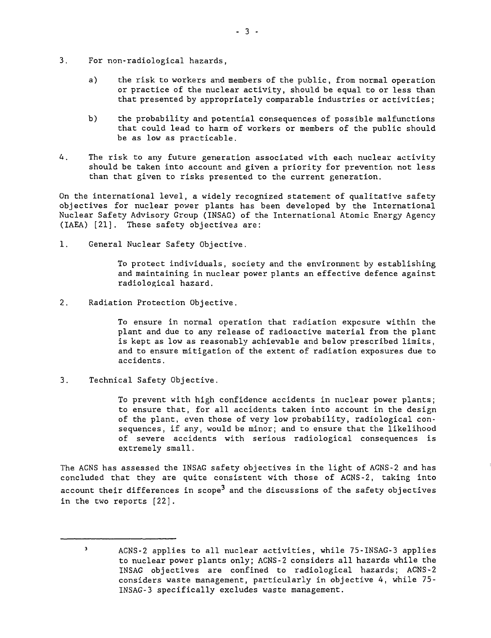- 3. For non-radiological hazards,
	- a) the risk to workers and members of the public, from normal operation or practice of the nuclear activity, should be equal to or less than that presented by appropriately comparable industries or activities;
	- b) the probability and potential consequences of possible malfunctions that could lead to harm of workers or members of the public should be as low as practicable.
- 4. The risk to any future generation associated with each nuclear activity should be taken into account and given a priority for prevention not less than that given to risks presented to the current generation.

On the international level, a widely recognized statement of qualitative safety objectives for nuclear power plants has been developed by the International Nuclear Safety Advisory Group (INSAG) of the International Atomic Energy Agency (IAEA) [21]. These safety objectives are:

1. General Nuclear Safety Objective.

To protect individuals, society and the environment by establishing and maintaining in nuclear power plants an effective defence against radiological hazard.

2. Radiation Protection Objective.

To ensure in normal operation that radiation exposure within the plant and due to any release of radioactive material from the plant is kept as low as reasonably achievable and below prescribed limits, and to ensure mitigation of the extent of radiation exposures due to accidents.

3. Technical Safety Objective.

To prevent with high confidence accidents in nuclear power plants; to ensure that, for all accidents taken into account in the design of the plant, even those of very low probability, radiological consequences, if any, would be minor; and to ensure that the likelihood of severe accidents with serious radiological consequences is extremely small.

The ACNS has assessed the INSAG safety objectives in the light of ACNS-2 and has concluded that they are quite consistent with those of ACNS-2, taking into account their differences in scope<sup>3</sup> and the discussions of the safety objectives in the two reports [22].

 $\mathbf 3$ ACNS-2 applies to all nuclear activities, while 75-INSAG-3 applies to nuclear power plants only; ACNS-2 considers all hazards while the INSAG objectives are confined to radiological hazards; ACNS-2 considers waste management, particularly in objective 4, while 75- INSAG-3 specifically excludes waste management.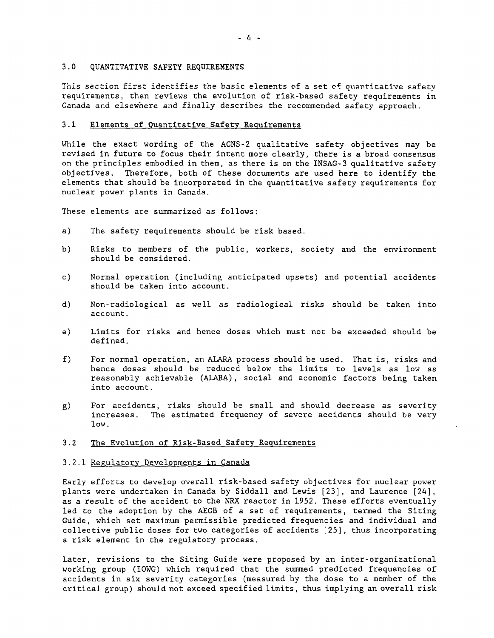# 3.0 QUANTITATIVE SAFETY REQUIREMENTS

This section first identifies the basic elements of a set cf quantitative safety requirements, then reviews the evolution of risk-based safety requirements in Canada and elsewhere and finally describes the recommended safety approach.

# 3.1 Elements of Quantitative Safety Requirements

While the exact wording of the ACNS-2 qualitative safety objectives may be revised in future to focus their intent more clearly, there is a broad consensus on the principles embodied in them, as there is on the INSAG-3 qualitative safety objectives. Therefore, both of these documents are used here to identify the elements that should be incorporated in the quantitative safety requirements for nuclear power plants in Canada.

These elements are summarized as follows:

- a) The safety requirements should be risk based.
- b) Risks to members of the public, workers, society and the environment should be considered.
- c) Normal operation (including anticipated upsets) and potential accidents should be taken into account.
- d) Non-radiological as well as radiological risks should be taken into account.
- e) Limits for risks and hence doses which must not be exceeded should be defined.
- f) For normal operation, an ALARA process should be used. That is, risks and hence doses should be reduced below the limits to levels as low as reasonably achievable (ALARA), social and economic factors being taken into account.
- g) For accidents, risks should be small and should decrease as severity increases. The estimated frequency of severe accidents should be very low.

# 3.2 The Evolution of Risk-Based Safety Requirements

## 3.2.1 Regulatory Developments in Canada

Early efforts to develop overall risk-based safety objectives for nuclear power plants were undertaken in Canada by Siddall and Lewis [23], and Laurence [24], as a result of the accident to the NRX reactor in 1952. These efforts eventually led to the adoption by the AECB of a set of requirements, termed the Siting Guide, which set maximum permissible predicted frequencies and individual and collective public doses for two categories of accidents [25], thus incorporating a risk element in the regulatory process.

Later, revisions to the Siting Guide were proposed by an inter-organizational working group (IOWG) which required that the summed predicted frequencies of accidents in six severity categories (measured by the dose to a member of the critical group) should not exceed specified limits, thus implying an overall risk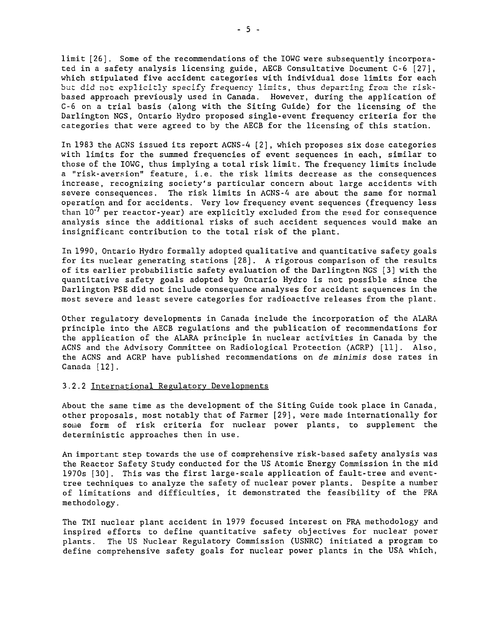limit [26] . Some of the recommendations of the IOWG were subsequently incorporated in a safety analysis licensing guide, AECB Consultative Document C-6 [27], which stipulated five accident categories with individual dose limits for each but did not explicitly specify frequency limits, thus departing from the riskbased approach previously used in Canada. However, during the application of C-6 on a trial basis (along with the Siting Guide) for the licensing of the Darlington NGS, Ontario Hydro proposed single-event frequency criteria for the categories that were agreed to by the AECB for the licensing of this station.

In 1983 the ACNS issued its report ACNS-4 [2] , which proposes six dose categories with limits for the summed frequencies of event sequences in each, similar to those of the IOWG, thus implying a total risk limit. The frequency limits include a "risk-aversion" feature, i.e. the risk limits decrease as the consequences increase, recognizing society's particular concern about large accidents with severe consequences. The risk limits in ACNS-4 are about the same for normal operation and for accidents. Very low frequency event sequences (frequency less than  $10^{-7}$  per reactor-year) are explicitly excluded from the reed for consequence analysis since the additional risks of such accident sequences would make an insignificant contribution to the total risk of the plant.

In 1990, Ontario Hydro formally adopted qualitative and quantitative safety goals for its nuclear generating stations [28]. A rigorous comparison of the results of its earlier probabilistic safety evaluation of the Darlington NGS [3] with the quantitative safety goals adopted by Ontario Hydro is not possible since the Darlington PSE did not include consequence analyses for accident sequences in the most severe and least severe categories for radioactive releases from the plant.

Other regulatory developments in Canada include the incorporation of the ALARA principle into the AECB regulations and the publication of recommendations for the application of the ALARA principle in nuclear activities in Canada by the ACNS and the Advisory Committee on Radiological Protection (ACRP) [11]. Also, the ACNS and ACRP have published recommendations on de minimis dose rates in Canada [12].

#### 3.2.2 International Regulatory Developments

About the same time as the development of the Siting Guide took place in Canada, other proposals, most notably that of Farmer [29], were made internationally for some form of risk criteria for nuclear power plants, to supplement the deterministic approaches then in use.

An important step towards the use of comprehensive risk-based safety analysis was the Reactor Safety Study conducted for the US Atomic Energy Commission in the mid 1970s [30]. This was the first large-scale application of fault-tree and eventtree techniques to analyze the safety of nuclear power plants. Despite a number of limitations and difficulties, it demonstrated the feasibility of the PRA methodology.

The TMI nuclear plant accident in 1979 focused interest on PRA methodology and inspired efforts to define quantitative safety objectives for nuclear power plants. The US Nuclear Regulatory Commission (USNRC) initiated a program to define comprehensive safety goals for nuclear power plants in the USA which,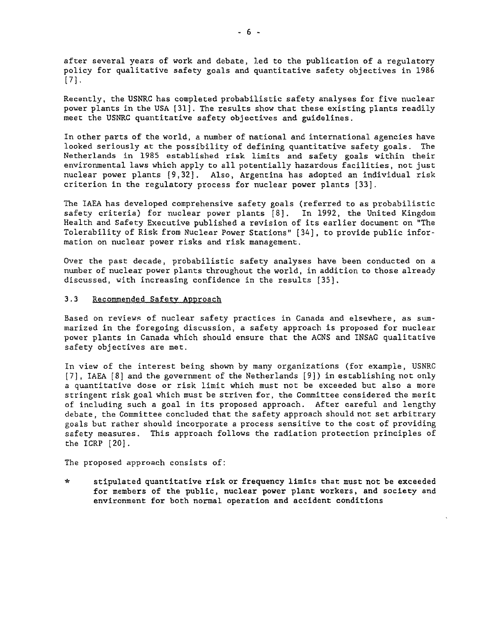after several years of work and debate, led to the publication of a regulatory policy for qualitative safety goals and quantitative safety objectives in 1986 [73-

Recently, the USNRC has completed probabilistic safety analyses for five nuclear power plants in the USA [31]. The results show that these existing plants readily meet the USNRC quantitative safety objectives and guidelines.

In other parts of the world, a number of national and international agencies have looked seriously at the possibility of defining quantitative safety goals. The Netherlands in 1985 established risk limits and safety goals within their environmental laws which apply to all potentially hazardous facilities, not just nuclear power plants [9,32]. Also, Argentina has adopted an individual risk criterion in the regulatory process for nuclear power plants [33].

The IAEA has developed comprehensive safety goals (referred to as probabilistic safety criteria) for nuclear power plants [8]. In 1992, the United Kingdom Health and Safety Executive published a revision of its earlier document on "The Tolerability of Risk from Nuclear Power Stations" [34] , to provide public information on nuclear power risks and risk management.

Over the past decade, probabilistic safety analyses have been conducted on a number of nuclear power plants throughout the world, in addition to those already discussed, with increasing confidence in the results [35],

# 3.3 Recommended Safety Approach

Based on reviews of nuclear safety practices in Canada and elsewhere, as summarized in the foregoing discussion, a safety approach is proposed for nuclear power plants in Canada which should ensure that the ACNS and INSAG qualitative safety objectives are met.

In view of the interest being shown by many organizations (for example, USNRC [7] , IAEA [8] and the government of the Netherlands [9]) in establishing not only a quantitative dose or risk limit which must not be exceeded but also a more stringent risk goal which must be striven for, the Committee considered the merit of including such a goal in its proposed approach. After careful and lengthy debate, the Committee concluded that the safety approach should not set arbitrary goals but rather should incorporate a process sensitive to the cost of providing safety measures. This approach follows the radiation protection principles of the ICRP [20].

The proposed approach consists of:

\* stipulated quantitative risk or frequency limits that must not be exceeded for members of the public, nuclear power plant workers, and society and environment for both normal operation and accident conditions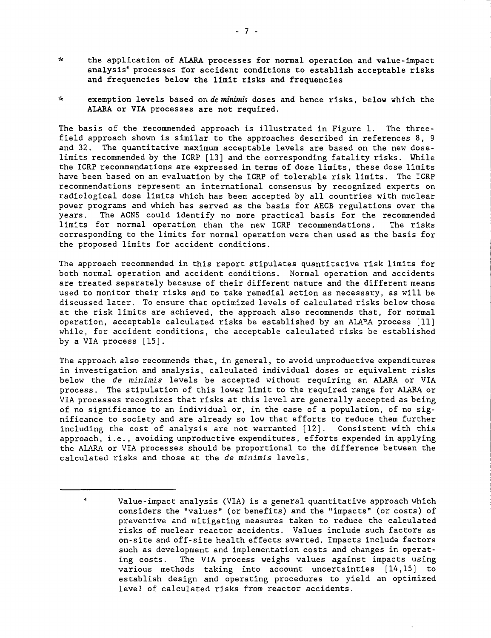- \* the application of ALARA processes for normal operation and value-impact analysis<sup>4</sup> processes for accident conditions to establish acceptable risks and frequencies below the limit risks and frequencies
- \* exemption levels based on de minimis doses and hence risks, below which the ALARA or VIA processes are not required.

The basis of the recommended approach is illustrated in Figure 1. The threefield approach shown is similar to the approaches described in references 8, 9 and 32. The quantitative maximum acceptable levels are based on the new doselimits recommended by the ICRP [13] and the corresponding fatality risks. While the ICRP recommendations are expressed in terms of dose limits, these dose limits have been based on an evaluation by the ICRP of tolerable risk limits. The ICRP recommendations represent an international consensus by recognized experts on radiological dose limits which has been accepted by all countries with nuclear power programs and which has served as the basis for AECB regulations over the years. The ACNS could identify no more practical basis for the recommended limits for normal operation than the new ICRP recommendations. The risks corresponding to the limits for normal operation were then used as the basis for the proposed limits for accident conditions.

The approach recommended in this report stipulates quantitative risk limits for both normal operation and accident conditions. Normal operation and accidents are treated separately because of their different nature and the different means used to monitor their risks and to take remedial action as necessary, as will be discussed later. To ensure that optimized levels of calculated risks below those at the risk limits are achieved, the approach also recommends that, for normal operation, acceptable calculated risks be established by an ALA $P$ A process  $[11]$ while, for accident conditions, the acceptable calculated risks be established by a VIA process [15].

The approach also recommends that, in general, to avoid unproductive expenditures in investigation and analysis, calculated individual doses or equivalent risks below the de minimis levels be accepted without requiring an AIARA or VIA process. The stipulation of this lower limit to the required range for ALARA or VIA processes recognizes that risks at this level are generally accepted as being of no significance to an individual or, in the case of a population, of no significance to society and are already so low that efforts to reduce them further including the cost of analysis are not warranted [12] . Consistent with this approach, i.e., avoiding unproductive expenditures, efforts expended in applying the ALARA or VIA processes should be proportional to the difference between the calculated risks and those at the de minimis levels.

 $\ddot{a}$ Value-impact analysis (VIA) is a general quantitative approach which considers the "values" (or benefits) and the "impacts" (or costs) of preventive and mitigating measures taken to reduce the calculated risks of nuclear reactor accidents. Values include such factors as on-site and off-site health effects averted. Impacts include factors such as development and implementation costs and changes in operating costs. The VIA process weighs values against impacts using various methods taking into account uncertainties [14,15] to establish design and operating procedures to yield an optimized level of calculated risks from reactor accidents.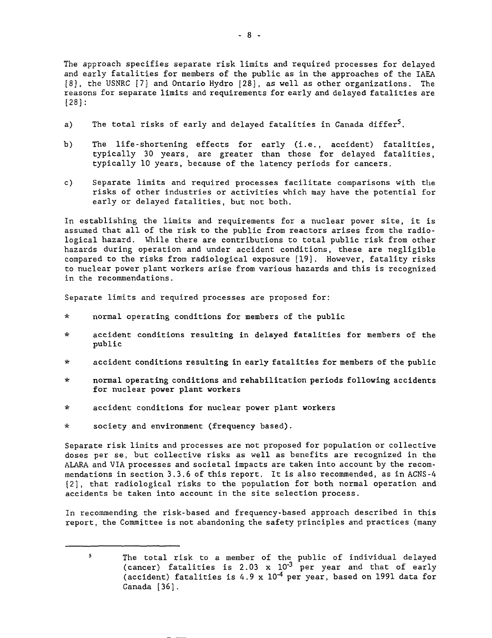The approach specifies separate risk limits and required processes for delayed and early fatalities for members of the public as in the approaches of the IAEA [8], the USNRC [7] and Ontario Hydro [28], as well as other organizations. The reasons for separate limits and requirements for early and delayed fatalities are [28]:

- a) The total risks of early and delayed fatalities in Canada differ<sup>5</sup>.
- b) The life-shortening effects for early (i.e., accident) fatalities, typically 30 years, are greater than those for delayed fatalities, typically 10 years, because of the latency periods for cancers.
- c) Separate limits and required processes facilitate comparisons with the risks of other industries or activities which may have the potential for early or delayed fatalities, but not both.

In establishing the limits and requirements for a nuclear power site, it is assumed that all of the risk to the public from reactors arises from the radiological hazard. While there are contributions to total public risk from other hazards during operation and under accident conditions, these are negligible compared to the risks from radiological exposure [19]. However, fatality risks to nuclear power plant workers arise from various hazards and this is recognized in the recommendations.

Separate limits and required processes are proposed for:

- \* normal operating conditions for members of the public
- \* accident conditions resulting in delayed fatalities for members of the public
- \* accident conditions resulting in early fatalities for members of the public
- \* normal operating conditions and rehabilitation periods following accidents for nuclear power plant workers
- \* accident conditions for nuclear power plant workers
- \* society and environment (frequency based).

Separate risk limits and processes are not proposed for population or collective doses per se, but collective risks as well as benefits are recognized in the ALARA and VIA processes and societal impacts are taken into account by the recommendations in section 3.3.6 of this report. It is also recommended, as in ACNS-4 [2], that radiological risks to the population for both normal operation and accidents be taken into account in the site selection process.

In recommending the risk-based and frequency-based approach described in this report, the Committee is not abandoning the safety principles and practices (many

 $\mathsf{s}$ The total risk to a member of the public of individual delayed (cancer) fatalities is 2.03 x  $10^{\text{-}3}$  per year and that of early (accident) fatalities is 4.9 x  $10^{-4}$  per year, based on 1991 data for Canada [36].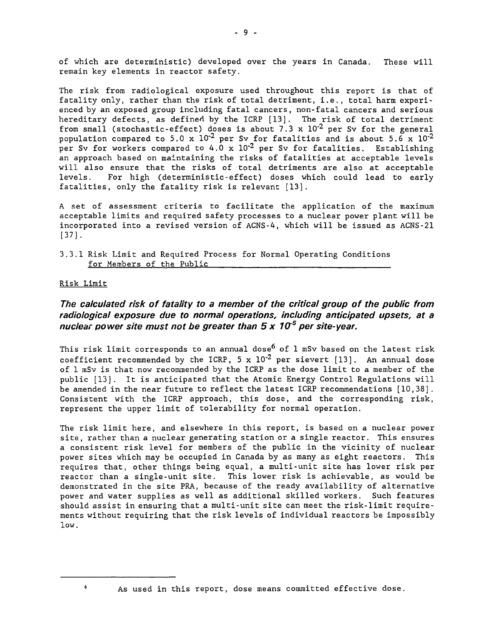of which are deterministic) developed over the years in Canada. These will remain key elements in reactor safety.

The risk from radiological exposure used throughout this report is that of fatality only, rather than the risk of total detriment, i.e., total harm experienced by an exposed group including fatal cancers, non-fatal cancers and serious hereditary defects, as defined by the ICRP [13]. The risk of total detriment from small (stochastic-effect) doses is about 7.3 x  $10^{-2}$  per Sv for the general population compared to 5.0 x  $10^{-2}$  per Sv for fatalities and is about 5.6 x  $10^{-2}$ per Sv for workers compared to 4.0 x  $10^{-2}$  per Sv for fatalities. Establishing an approach based on maintaining the risks of fatalities at acceptable levels will also ensure that the risks of total detriments are also at acceptable levels. For high (deterministic-effect) doses which could lead to early fatalities, only the fatality risk is relevant [13].

A set of assessment criteria to facilitate the application of the maximum acceptable limits and required safety processes to a nuclear power plant will be incorporated into a revised version of ACNS-4, which will be issued as ACNS-21 [37].

3.3.1 Risk Limit and Required Process for Normal Operating Conditions for Members of the Public

# Risk Limit

6

# The calculated risk of fatality to a member of the critical group of the public from radiological exposure due to normal operations, including anticipated upsets, at a nuclear power site must not be greater than 5 x 10<sup>5</sup> per site-year.

This risk limit corresponds to an annual dose<sup>6</sup> of 1 mSv based on the latest risk coefficient recommended by the ICRP, 5 x  $10^{-2}$  per sievert [13]. An annual dose of 1 mSv is that now recommended by the ICRP as the dose limit to a member of the public [13]. It is anticipated that the Atomic Energy Control Regulations will be amended in the near future to reflect the latest ICRP recommendations [10,38]. Consistent with the ICRP approach, this dose, and the corresponding risk, represent the upper limit of tolerability for normal operation.

The risk limit here, and elsewhere in this report, is based on a nuclear power site, rather than a nuclear generating station or a single reactor. This ensures a consistent risk level for members of the public in the vicinity of nuclear power sites which may be occupied in Canada by as many as eight reactors. This requires that, other things being equal, a multi-unit site has lower risk per reactor than a single-unit site. This lower risk is achievable, as would be demonstrated in the site PRA, because of the ready availability of alternative power and water supplies as well as additional skilled workers. Such features should assist in ensuring that a multi-unit site can meet the risk-limit requirements without requiring that the risk levels of individual reactors be impossibly low.

As used in this report, dose means committed effective dose.

- 9 -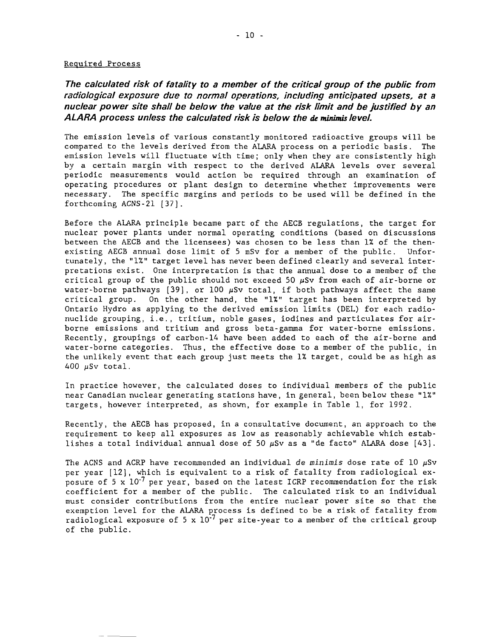#### Required Process

The calculated risk of fatality to a member of the critical group of the public from radiological exposure due to normal operations, including anticipated upsets, at a nuclear power site shall be below the value at the risk limit and be justified by an ALARA process unless the calculated risk is below the de minims level.

The emission levels of various constantly monitored radioactive groups will be compared to the levels derived from the ALARA process on a periodic basis. The emission levels will fluctuate with time; only when they are consistently high by a certain margin with respect to the derived ALARA levels over several periodic measurements would action be required through an examination of operating procedures or plant design to determine whether improvements were necessary. The specific margins and periods to be used will be defined in the forthcoming ACNS-21 [37].

Before the ALARA principle became part of the AECB regulations, the target for nuclear power plants under normal operating conditions (based on discussions between the AECB and the licensees) was chosen to be less than 1% of the thenexisting AECB annual dose limit of 5 mSv for a member of the public. Unfortunately, the "1%" target level has never been defined clearly and several interpretations exist. One interpretation is that the annual dose to a member of the critical group of the public should not exceed 50  $\mu$ Sv from each of air-borne or water-borne pathways  $[39]$ , or 100  $\mu$ Sv total, if both pathways affect the same critical group. On the other hand, the "1%" target has been interpreted by Ontario Hydro as applying to the derived emission limits (DEL) for each radionuclide grouping, i.e., tritium, noble gases, iodines and particulates for airborne emissions and tritium and gross beta-gamma for water-borne emissions. Recently, groupings of carbon-14 have been added to each of the air-borne and water-borne categories. Thus, the effective dose to a member of the public, in the unlikely event that each group just meets the 1% target, could be as high as 400  $\mu$ Sv total.

In practice however, the calculated doses to individual members of the public near Canadian nuclear generating stations have, in general, been below these "1%" targets, however interpreted, as shown, for example in Table 1, for 1992.

Recently, the AECB has proposed, in a consultative document, an approach to the requirement to keep all exposures as low as reasonably achievable which establishes a total individual annual dose of 50  $\mu$ Sv as a "de facto" ALARA dose [43].

The ACNS and ACRP have recommended an individual de minimis dose rate of 10  $\mu$ Sv per year [12], which is equivalent to a risk of fatality from radiological exposure of 5 x  $10^{-7}$  per year, based on the latest ICRP recommendation for the risk coefficient for a member of the public. The calculated risk to an individual must consider contributions from the entire nuclear power site so that the exemption level for the ALARA process is defined to be a risk of fatality from radiological exposure of 5 x  $10^{-7}$  per site-year to a member of the critical group of the public.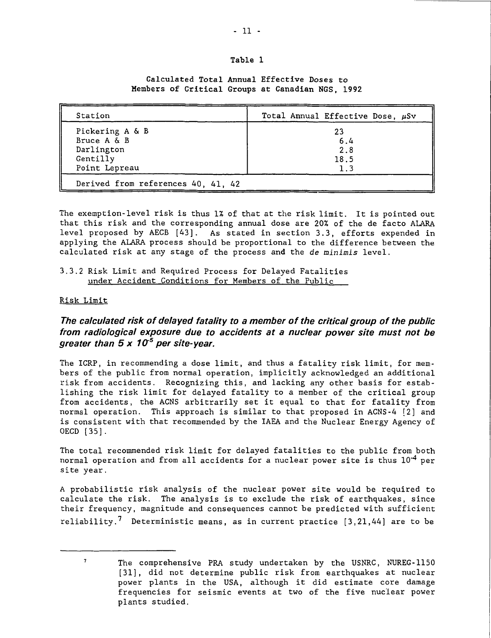# **Table 1**

**Calculated Total Annual Effective Doses to Members of Critical Groups at Canadian NGS, 1992**

| Station                                                                   | Total Annual Effective Dose, $\mu$ Sv |
|---------------------------------------------------------------------------|---------------------------------------|
| Pickering A & B<br>Bruce A & B<br>Darlington<br>Gentilly<br>Point Lepreau | 23<br>6.4<br>2.8<br>18.5<br>1.3       |
| Derived from references 40, 41, 42                                        |                                       |

The exemption-level risk is thus 1% of that at the risk limit. It is pointed out that this risk and the corresponding annual dose are 20% of the de facto ALARA level proposed by AECB [43]. As stated in section 3.3, efforts expended in applying the ALARA process should be proportional to the difference between the calculated risk at any stage of the process and the de minimis level.

3.3.2 Risk Limit and Required Process for Delayed Fatalities under Accident Conditions for Members of the Public

# Risk Limit

 $\mathbf{7}$ 

# **The calculated risk of delayed fatality to a member of the critical group of the public from radiological exposure due to accidents at a nuclear power site must not be greater than 5 x 1(X<sup>5</sup> per site-year.**

The ICRP, in recommending a dose limit, and thus a fatality risk limit, for members of the public from normal operation, implicitly acknowledged an additional risk from accidents. Recognizing this, and lacking any other basis for establishing the risk limit for delayed fatality to a member of the critical group from accidents, the ACNS arbitrarily set it equal to that for fatality from normal operation. This approach is similar to that proposed in ACNS-4 [2] and is consistent with that recommended by the IAEA and the Nuclear Energy Agency of OECD [35].

The total recommended risk limit for delayed fatalities to the public from both normal operation and from all accidents for a nuclear power site is thus  $10^{-4}$  per site year.

A probabilistic risk analysis of the nuclear power site would be required to calculate the risk. The analysis is to exclude the risk of earthquakes, since their frequency, magnitude and consequences cannot be predicted with sufficient reliability.<sup>7</sup> Deterministic means, as in current practice [3,21,44] are to be

The comprehensive PRA study undertaken by the USNRC, NUREG-1150 [31], did not determine public risk from earthquakes at nuclear power plants in the USA, although it did estimate core damage frequencies for seismic events at two of the five nuclear power plants studied.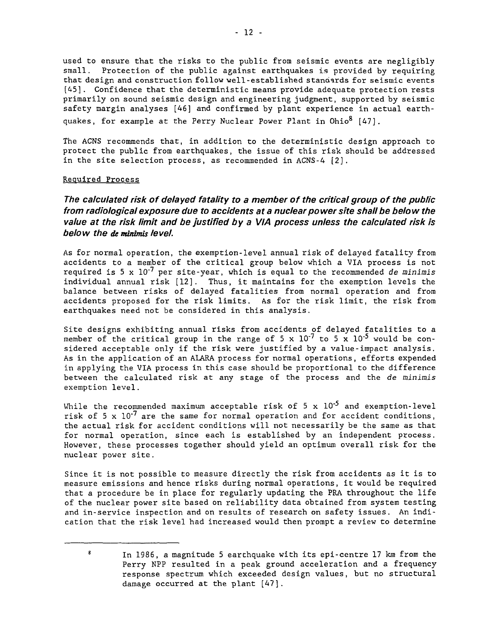used to ensure that the risks to the public from seismic events are negligibly small. Protection of the public against earthquakes is provided by requiring that design and construction follow well-established standards for seismic events [45]. Confidence that the deterministic means provide adequate protection rests primarily on sound seismic design and engineering judgment, supported by seismic safety margin analyses [46] and confirmed by plant experience in actual earthquakes, for example at the Perry Nuclear Power Plant in Ohio<sup>8</sup> [47].

The ACNS recommends that, in addition to the deterministic design approach to protect the public from earthquakes, the issue of this risk should be addressed in the site selection process, as recommended in ACNS-4 [2].

## Required Process

The calculated risk of delayed fatality to a member of the critical group of the public from radiological exposure due to accidents at a nuclear power site shall be below the value at the risk limit and be justified by a VIA process unless the calculated risk is below the de minimis level.

As for normal operation, the exemption-level annual risk of delayed fatality from accidents to a member of the critical group below which a VIA process is not required is 5 x  $10^{-7}$  per site-year, which is equal to the recommended de minimis individual annual risk [12]. Thus, it maintains for the exemption levels the balance between risks of delayed fatalities from normal operation and from accidents proposed for the risk limits. As for the risk limit, the risk from earthquakes need not be considered in this analysis.

Site designs exhibiting annual risks from accidents of delayed fatalities to a member of the critical group in the range of 5 x  $10^{-7}$  to 5 x  $10^{-5}$  would be considered acceptable only if the risk were justified by a value-impact analysis. As in the application of an ALARA process for normal operations, efforts expended in applying the VIA process in this case should be proportional to the difference between the calculated risk at any stage of the process and the de minimis exemption level.

While the recommended maximum acceptable risk of 5 x  $10^{-5}$  and exemption-level risk of 5 x  $10^{-7}$  are the same for normal operation and for accident conditions, the actual risk for accident conditions will not necessarily be the same as that for normal operation, since each is established by an independent process. However, these processes together should yield an optimum overall risk for the nuclear power site.

Since it is not possible to measure directly the risk from accidents as it is to measure emissions and hence risks during normal operations, it would be required that a procedure be in place for regularly updating the PRA throughout the life of the nuclear power site based on reliability data obtained from system testing and in-service inspection and on results of research on safety issues. An indication that the risk level had increased would then prompt a review to determine

 $\mathbf{g}$ In 1986, a magnitude 5 earthquake with its epi-centre 17 km from the Perry NPP resulted in a peak ground acceleration and a frequency response spectrum which exceeded design values, but no structural damage occurred at the plant [47].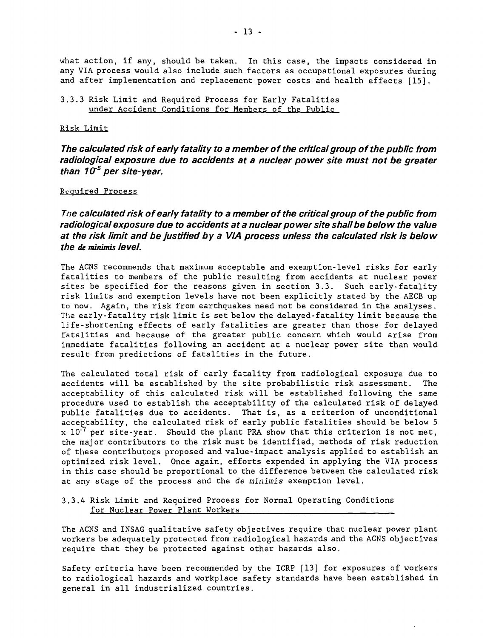what action, if any, should be taken. In this case, the impacts considered in any VIA process would also include such factors as occupational exposures during and after implementation and replacement power costs and health effects [15].

# 3.3.3 Risk Limit and Required Process for Early Fatalities under Accident Conditions for Members of the Public

# Risk Limit

**The calculated risk of early fatality to a member of the critical group of the public from radiological exposure due to accidents at a nuclear power site must not be greater** than 10<sup>-5</sup> per site-year.

# Required Process

**Tne calculated risk of early fatality to a member of the critical group of the public from radiological exposure due to accidents at a nuclear power site shall be below the value at the risk limit and be justified by a VIA process unless the calculated risk is below the de minimis level.**

The ACNS recommends that maximum acceptable and exemption-level risks for early fatalities to members of the public resulting from accidents at nuclear power sites be specified for the reasons given in section 3.3. Such early-fatality risk limits and exemption levels have not been explicitly stated by the AECB up to now. Again, the risk from earthquakes need not be considered in the analyses. The early-fatality risk limit is set below the delayed-fatality limit because the life-shortening effects of early fatalities are greater than those for delayed fatalities and because of the greater public concern which would arise from immediate fatalities following an accident at a nuclear power site than would result from predictions of fatalities in the future.

The calculated total risk of early fatality from radiological exposure due to accidents will be established by the site probabilistic risk assessment. The acceptability of this calculated risk will be established following the same procedure used to establish the acceptability of the calculated risk of delayed public fatalities due to accidents. That is, as a criterion of unconditional acceptability, the calculated risk of early public fatalities should be below 5  $x$  10<sup>-7</sup> per site-year. Should the plant PRA show that this criterion is not met, the major contributors to the risk must be identified, methods of risk reduction of these contributors proposed and value-impact analysis applied to establish an optimized risk level. Once again, efforts expended in applying the VIA process in this case should be proportional to the difference between the calculated risk at any stage of the process and the de minimis exemption level.

3.3.4 Risk Limit and Required Process for Normal Operating Conditions for Nuclear Power Plant Workers

The ACNS and INSAG qualitative safety objectives require that nuclear power plant workers be adequately protected from radiological hazards and the ACNS objectives require that they be protected against other hazards also.

Safety criteria have been recommended by the ICRP [13] for exposures of workers to radiological hazards and workplace safety standards have been established in general in all industrialized countries.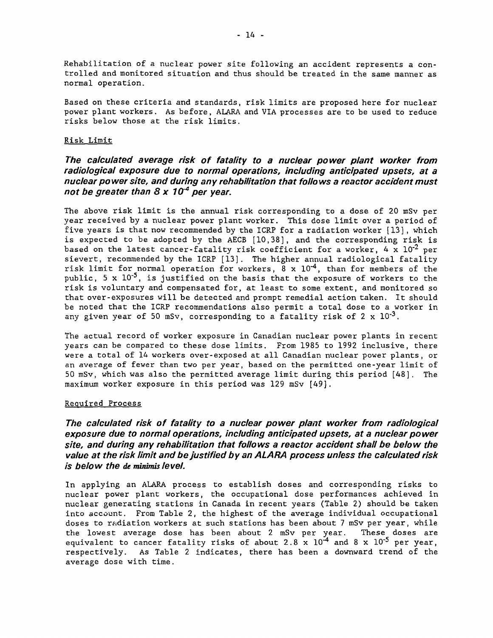Rehabilitation of a nuclear power site following an accident represents a controlled and monitored situation and thus should be treated in the same manner as normal operation.

Based on these criteria and standards, risk limits are proposed here for nuclear power plant workers. As before, ALARA and VIA processes are to be used to reduce risks below those at the risk limits.

# Risk Limit

# **The calculated average risk of fatality to a nuclear power plant worker from radiological exposure due to normal operations, including anticipated upsets, at a nuclear power site, and during any rehabilitation that follows a reactor accident must not be greater than 8 x 1&<sup>4</sup> per year.**

The above risk limit is the annual risk corresponding to a dose of 20 mSv per year received by a nuclear power plant worker. This dose limit over a period of five years is that now recommended by the ICRP for a radiation worker [13] , which is expected to be adopted by the AECB [10,38], and the corresponding risk is based on the latest cancer-fatality risk coefficient for a worker, 4 x  $10^{-2}$  per sievert, recommended by the ICRP [13]. The higher annual radiological fatality risk limit for normal operation for workers,  $\bar{8}$  x 10<sup>-4</sup>, than for members of the public, 5 x  $10^{-5}$ , is justified on the basis that the exposure of workers to the risk is voluntary and compensated for, at least to some extent, and monitored so that over-exposures will be detected and prompt remedial action taken. It should be noted that the ICRP recommendations also permit a total dose to a worker in any given year of 50 mSv, corresponding to a fatality risk of  $2 \times 10^{-3}$ .

The actual record of worker exposure in Canadian nuclear power plants in recent years can be compared to these dose limits. From 1985 to 1992 inclusive, there were a total of 14 workers over-exposed at all Canadian nuclear power plants, or an average of fewer than two per year, based on the permitted one-year limit of 50 mSv, which was also the permitted average limit during this period [48]. The maximum worker exposure in this period was 129 mSv [49].

#### Required Process

**The calculated risk of fatality to a nuclear power plant worker from radiological exposure due to normal operations, including anticipated upsets, at a nuclear power site, and during any rehabilitation that follows a reactor accident shall be below the value at the risk limit and be justified by an ALARA process unless the calculated risk is below the de mînimîs level.**

In applying an ALARA process to establish doses and corresponding risks to nuclear power plant workers, the occupational dose performances achieved in nuclear generating stations in Canada in recent years (Table 2) should be taken into account. From Table 2, the highest of the average individual occupational doses to radiation workers at such stations has been about 7 mSv per year, while the lowest average dose has been about 2 mSv per year. These doses are equivalent to cancer fatality risks of about 2.8 x  $10^{-4}$  and 8 x  $10^{-5}$  per year, respectively. As Table 2 indicates, there has been a downward trend of the average dose with time.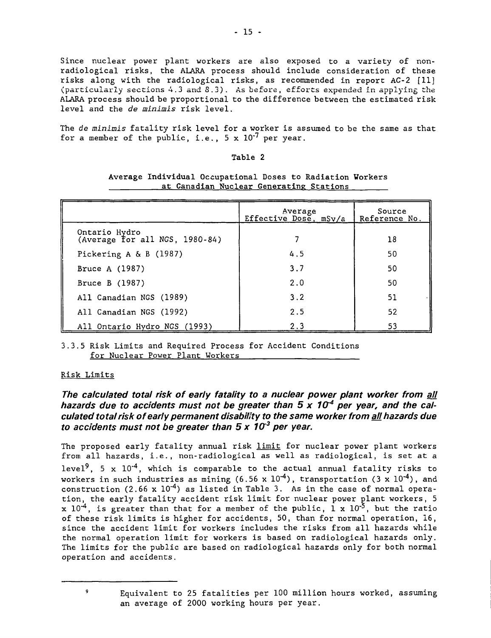Since nuclear power plant workers are also exposed to a variety of nonradiological risks, the ALARA process should include consideration of these risks along with the radiological risks, as recommended in report AC-2 [11] (particularly sections 4.3 and S.3). As before, efforts expended in applying the ALARA process should be proportional to the difference between the estimated risk level and the de minimis risk level.

The de minimis fatality risk level for a worker is assumed to be the same as that for a member of the public, i.e.,  $5 \times 10^{-7}$  per year.

# Table 2

|                                                    | Average<br>Effective Dose, mSv/a | Source<br>Reference No. |
|----------------------------------------------------|----------------------------------|-------------------------|
| Ontario Hydro<br>(Average for all NGS, $1980-84$ ) |                                  | 18                      |
| Pickering A & B $(1987)$                           | 4.5                              | 50                      |
| Bruce A (1987)                                     | 3.7                              | 50                      |
| Bruce B (1987)                                     | 2.0                              | 50                      |
| All Canadian NGS (1989)                            | 3.2                              | 51                      |
| All Canadian NGS (1992)                            | 2.5                              | 52                      |
| All Ontario Hydro NGS (1993)                       | 2.3                              | 53                      |

Average Individual Occupational Doses to Radiation Workers at Canadian Nuclear Generating Stations

3.3.5 Risk Limits and Required Process for Accident Conditions for Nuclear Power Plant Workers

# Risk Limits

9

# **The calculated total risk of early fatality to a nuclear power plant worker from all** hazards due to accidents must not be greater than 5 x 10<sup>-4</sup> per year, and the cal**culated total risk of early permanent disability to the same worker from all hazards due** to accidents must not be greater than 5 x 10<sup>3</sup> per year.

The proposed early fatality annual risk limit for nuclear power plant workers from all hazards, i.e., non-radiological as well as radiological, is set at a level<sup>9</sup>. 5 x 10<sup>-4</sup>, which is comparable to the actual annual fatality risks to workers in such industries as mining (6.56 x  $10^{-4}$ ), transportation (3 x  $10^{-4}$ ), and construction (2.66 x  $10^{-4}$ ) as listed in Table 3. As in the case of normal operation, the early fatality accident risk limit for nuclear power plant workers, 5 x 10<sup>-4</sup>, is greater than that for a member of the public, 1 x 10<sup>-5</sup>, but the ratio of these risk limits is higher for accidents, 50, than for normal operation, 16, since the accident limit for workers includes the risks from all hazards while the normal operation limit for workers is based on radiological hazards only. The limits for the public are based on radiological hazards only for both normal operation and accidents.

> Equivalent to 25 fatalities per 100 million hours worked, assuming an average of 2000 working hours per year.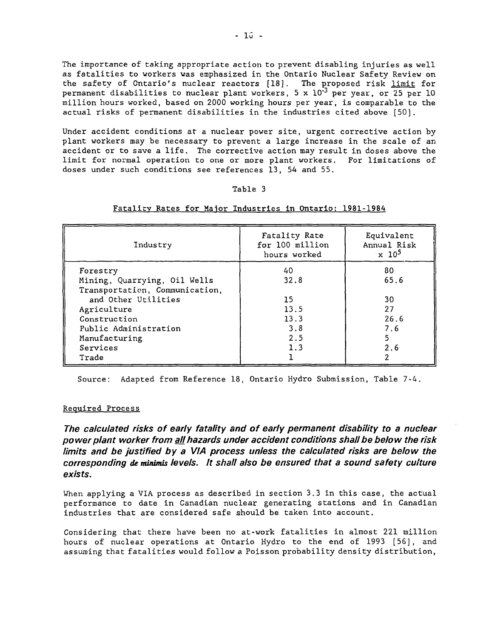The importance of taking appropriate action to prevent disabling injuries as well as fatalities to workers was emphasized in the Ontario Nuclear Safety Review on the safety of Ontario's nuclear reactors [18]. The proposed risk limit for permanent disabilities to nuclear plant workers, 5 x  $10^{-3}$  per year, or 25 per 10 million hours worked, based on 2000 working hours per year, is comparable to the actual risks of permanent disabilities in the industries cited above [50].

Under accident conditions at a nuclear power site, urgent corrective action by plant workers may be necessary to prevent a large increase in the scale of an accident or to save a life. The corrective action may result in doses above the limit for normal operation to one or more plant workers. For limitations of doses under such conditions see references 13, 54 and 55.

## Table 3

| Industry                       | Fatality Rate<br>for 100 million<br>hours worked | Equivalent<br>Annual Risk<br>$\times 10^5$ |
|--------------------------------|--------------------------------------------------|--------------------------------------------|
| Forestry                       | 40                                               | 80                                         |
| Mining, Quarrying, Oil Wells   | 32.8                                             | 65.6                                       |
| Transportation, Communication, |                                                  |                                            |
| and Other Utilities            | 15                                               | 30                                         |
| Agriculture                    | 13.5                                             | 27                                         |
| Construction                   | 13.3                                             | 26.6                                       |
| Public Administration          | 3.8                                              | 7.6                                        |
| Manufacturing                  | 2.5                                              |                                            |
| Services                       | 1.3                                              | 2.6                                        |
| Trade                          |                                                  |                                            |

# Fatality Rates for Major Industries in Ontario: 1981-1984

Source: Adapted from Reference 18, Ontario Hydro Submission, Table 7-4.

# Required Process

The calculated risks of early fatality and of early permanent disability to a nuclear power plant worker from all hazards under accident conditions shall be below the risk limits and be justified by a VIA process unless the calculated risks are below the corresponding de minimis levels. It shall also be ensured that a sound safety culture exists.

When applying a VIA process as described in section 3.3 in this case, the actual performance to date in Canadian nuclear generating stations and in Canadian industries that are considered safe should be taken into account.

Considering that there have been no at-work fatalities in almost 221 million hours of nuclear operations at Ontario Hydro to the end of 1993 [55], and assuming that fatalities would follow a Poisson probability density distribution,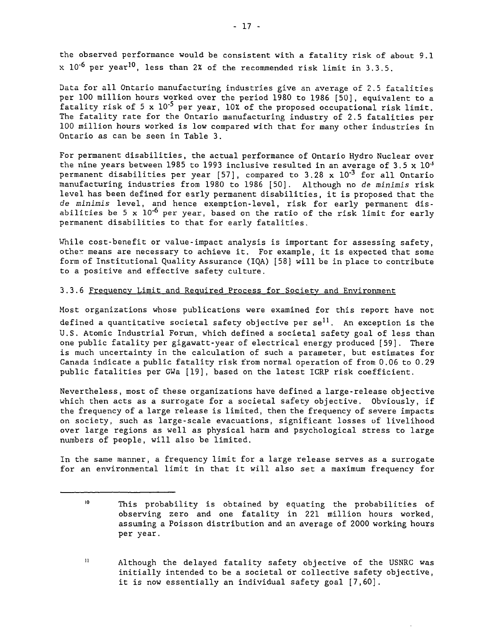the observed performance would be consistent with a fatality risk of about 9.1  $x$   $10^{-6}$  per year<sup>10</sup>. less than 2% of the recommended risk limit in 3.3.5.

Data for all Ontario manufacturing industries give an average of 2.5 fatalities per 100 million hours worked over the period 1980 to 1986 [50], equivalent to a fatality risk of 5 x 10'<sup>5</sup> per year, 10% of the proposed occupational risk limit. The fatality rate for the Ontario manufacturing industry of 2.5 fatalities per 100 million hours worked is low compared with that for many other industries in Ontario as can be seen in Table 3.

For permanent disabilities, the actual performance of Ontario Hydro Nuclear over the nine years between 1985 to 1993 inclusive resulted in an average of 3.5 x  $10^{-5}$ permanent disabilities per year [57], compared to 3.28 x  $10^{-3}$  for all Ontario manufacturing industries from 1980 to 1986 [50]. Although no de minimis risk level has been defined for early permanent disabilities, it is proposed that the de minimis level, and hence exemption-level, risk for early permanent disabilities be 5 x  $10^{-6}$  per year, based on the ratio of the risk limit for early permanent disabilities to that for early fatalities.

While cost-benefit or value-impact analysis is important for assessing safety, other means are necessary to achieve it. For example, it is expected that some form of Institutional Quality Assurance (IQA) [58] will be in place to contribute to a positive and effective safety culture.

# 3.3.6 Frequency Limit and Required Process for Society and Environment

Most organizations whose publications were examined for this report have not defined a quantitative societal safety objective per  $se^{11}$ . An exception is the U.S. Atomic Industrial Forum, which defined a societal safety goal of less than one public fatality per gigawatt-year of electrical energy produced [59]. There is much uncertainty in the calculation of such a parameter, but estimates for Canada indicate a public fatality risk from normal operation of from 0.06 to 0.29 public fatalities per GWa [19], based on the latest ICRP risk coefficient.

Nevertheless, most of these organizations have defined a large-release objective which then acts as a surrogate for a societal safety objective. Obviously, if the frequency of a large release is limited, then the frequency of severe impacts on society, such as large-scale evacuations, significant losses of livelihood over large regions as well as physical harm and psychological stress to large numbers of people, will also be limited.

In the same manner, a frequency limit for a large release serves as a surrogate for an environmental limit in that it will also set a maximum frequency for

 $\mathbf{10}$ This probability is obtained by equating the probabilities of observing zero and one fatality in 221 million hours worked, assuming a Poisson distribution and an average of 2000 working hours per year.

 $\mathbf{u}$ Although the delayed fatality safety objective of the USNRC was initially intended to be a societal or collective safety objective, it is now essentially an individual safety goal [7,60].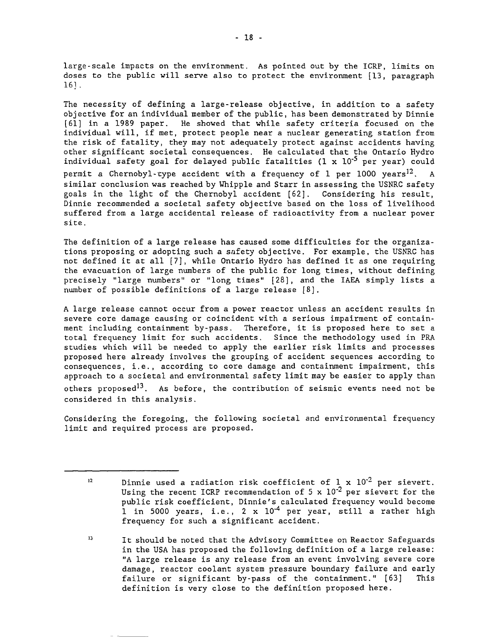large-scale impacts on the environment. As pointed out by the ICRP, limits on doses to the public will serve also to protect the environment [13, paragraph 16] .

The necessity of defining a large-release objective, in addition to a safety objective for an individual member of the public, has been demonstrated by Dinnie [61] in a 1989 paper. He showed that while safety criteria focused on the individual will, if met, protect people near a nuclear generating station from the risk of fatality, they may not adequately protect against accidents having other significant societal consequences. He calculated that the Ontario Hydro individual safety goal for delayed public fatalities (1 x 10'<sup>5</sup> per year) could permit a Chernobyl-type accident with a frequency of 1 per  $1000$  years<sup>12</sup>. A similar conclusion was reached by Whipple and Starr in assessing the USNRC safety goals in the light of the Chernobyl accident [62], Considering his result, Dinnie recommended a societal safety objective based on the loss of livelihood suffered from a large accidental release of radioactivity from a nuclear power site.

The definition of a large release has caused some difficulties for the organizations proposing or adopting such a safety objective. For example, the USNRC has not defined it at all [7], while Ontario Hydro has defined it as one requiring the evacuation of large numbers of the public for long times, without defining precisely "large numbers" or "long times" [28], and the IAEA simply lists a number of possible definitions of a large release [8].

A large release cannot occur from a power reactor unless an accident results in severe core damage causing or coincident with a serious impairment of containment including containment by-pass. Therefore, it is proposed here to set a total frequency limit for such accidents. Since the methodology used in PRA studies which will be needed to apply the earlier risk limits and processes proposed here already involves the grouping of accident sequences according to consequences, i.e., according to core damage and containment impairment, this approach to a societal and environmental safety limit may be easier to apply than others proposed<sup>13</sup>. As before, the contribution of seismic events need not be considered in this analysis.

Considering the foregoing, the following societal and environmental frequency limit and required process are proposed.

 $12$ Dinnie used a radiation risk coefficient of  $1 \times 10^{2}$  per sievert. Using the recent ICRP recommendation of 5 x  $10^{-2}$  per sievert for the public risk coefficient, Dinnie's calculated frequency would become 1 in 5000 years, i.e., 2 x 10<sup>-4</sup> per year, still a rather high frequency for such a significant accident.

 $13$ It should be noted that the Advisory Committee on Reactor Safeguards in the USA has proposed the following definition of a large release: "A large release is any release from an event involving severe core damage, reactor coolant system pressure boundary failure and early failure or significant by-pass of the containment." [63] This definition is very close to the definition proposed here.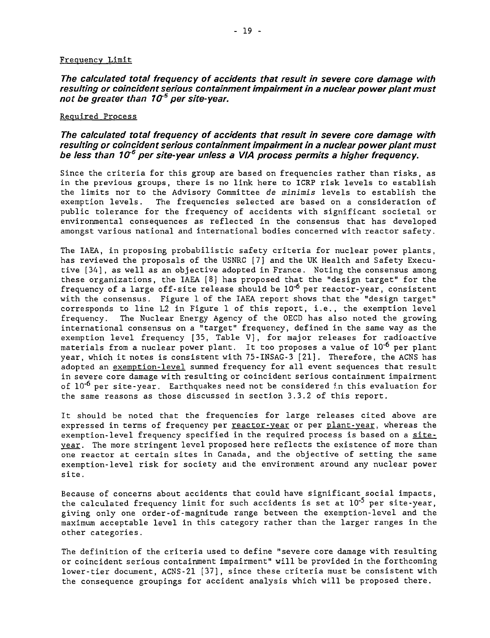# Frequency Limit

**The calculated total frequency of accidents that result in severe core damage with resulting or coincident serious containment impairment in a nuclear power plant must** not be greater than 10<sup>-5</sup> per site-year.

# Required Process

# **The calculated total frequency of accidents that result in severe core damage with resulting or coincident serious containment impairment in a nuclear power plant must** be less than 10<sup>6</sup> per site-year unless a VIA process permits a higher frequency.

Since the criteria for this group are based on frequencies rather than risks, as in the previous groups, there is no link here to ICRP risk levels to establish the limits nor to the Advisory Committee de minimis levels to establish the exemption levels. The frequencies selected are based on a consideration of public tolerance for the frequency of accidents with significant societal or environmental consequences as reflected in the consensus that has developed amongst various national and international bodies concerned with reactor safety.

The IAEA, in proposing probabilistic safety criteria for nuclear power plants, has reviewed the proposals of the USNRC [7] and the UK Health and Safety Executive [34] , as well as an objective adopted in France. Noting the consensus among these organizations, the IAEA [8] has proposed that the "design target" for the frequency of a large off-site release should be  $10^{-6}$  per reactor-year, consistent with the consensus. Figure 1 of the IAEA report shows that the "design target" corresponds to line L2 in Figure 1 of this report, i.e., the exemption level frequency. The Nuclear Energy Agency of the OECD has also noted the growing international consensus on a "target" frequency, defined in the same way as the exemption level frequency [35, Table V], for major releases for radioactive materials from a nuclear power plant. It too proposes a value of  $10^{-6}$  per plant year, which it notes is consistent with 75-INSAG-3 [21]. Therefore, the ACNS has adopted an exemption-level summed frequency for all event sequences that result in severe core damage with resulting or coincident serious containment impairment of  $10^{-6}$  per site-year. Earthquakes need not be considered in this evaluation for the same reasons as those discussed in section 3.3.2 of this report.

It should be noted that the frequencies for large releases cited above are expressed in terms of frequency per reactor-year or per plant-year, whereas the exemption-level frequency specified in the required process is based on a siteyear. The more stringent level proposed here reflects the existence of more than one reactor at certain sites in Canada, and the objective of setting the same exemption-level risk for society and the environment around any nuclear power site.

Because of concerns about accidents that could have significant social impacts, the calculated frequency limit for such accidents is set at  $10^{-5}$  per site-year, giving only one order-of-magnitude range between the exemption-level and the maximum acceptable level in this category rather than the larger ranges in the other categories.

The definition of the criteria used to define "severe core damage with resulting or coincident serious containment impairment" will be provided in the forthcoming lower-tier document, ACNS-21 [37], since these criteria must be consistent with the consequence groupings for accident analysis which will be proposed there.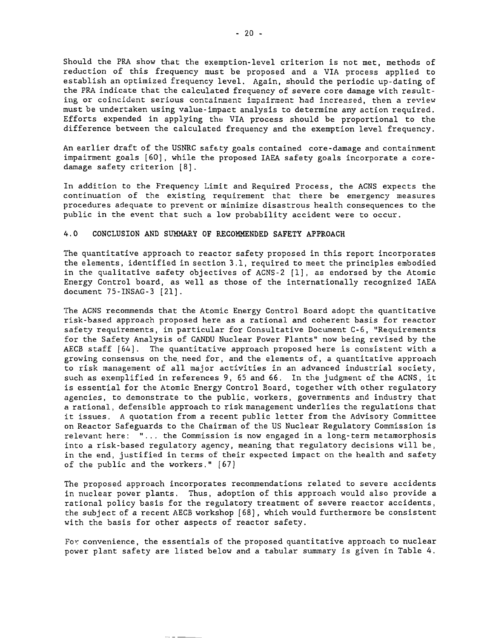Should the PRA show that the exemption-level criterion is not met, methods of reduction of this frequency must be proposed and a VIA process applied to establish an optimized frequency level. Again, should the periodic up-dating of the PRA indicate that the calculated frequency of severe core damage with resulting or coincident serious containment impairment had increased, then a review must be undertaken using value-impact analysis to determine any action required. Efforts expended in applying the VIA process should be proportional to the difference between the calculated frequency and the exemption level frequency.

An earlier draft of the USNRC safety goals contained core-damage and containment impairment goals [60], while the proposed IAEA safety goals incorporate a coredamage safety criterion [8].

In addition to the Frequency Limit and Required Process, the ACNS expects the continuation of the existing requirement that there be emergency measures procedures adequate to prevent or minimize disastrous health consequences to the public in the event that such a low probability accident were to occur.

## 4.0 CONCLUSION AND SUMMARY OF RECOMMENDED SAFETY APPROACH

The quantitative approach to reactor safety proposed in this report incorporates the elements, identified in section 3.1, required to meet the principles embodied in the qualitative safety objectives of ACNS-2 [1], as endorsed by the Atomic Energy Control board, as well as those of the internationally recognized IAEA document 75-INSAG-3 [21].

The ACNS recommends that the Atomic Energy Control Board adopt the quantitative risk-based approach proposed here as a rational and coherent basis for reactor safety requirements, in particular for Consultative Document C-6, "Requirements for the Safety Analysis of CANDU Nuclear Power Plants" now being revised by the AECB staff [64]. The quantitative approach proposed here is consistent with a growing consensus on the. need for, and the elements of, a quantitative approach to risk management of all major activities in an advanced industrial society, such as exemplified in references 9, 65 and 66. In the judgment of the ACNS, it is essential for the Atomic Energy Control Board, together with other regulatory agencies, to demonstrate to the public, workers, governments and industry that a rational, defensible approach to risk management underlies the regulations that it issues. A quotation from a recent public letter from the Advisory Committee on Reactor Safeguards to the Chairman of the US Nuclear Regulatory Commission is relevant here: "... the Commission is now engaged in a long-term metamorphosis into a risk-based regulatory agency, meaning that regulatory decisions will be, in the end, justified in terms of their expected impact on the health and safety of the public and the workers." [67]

The proposed approach incorporates recommendations related to severe accidents in nuclear power plants. Thus, adoption of this approach would also provide a rational policy basis for the regulatory treatment of severe reactor accidents, the subject of a recent AECB workshop [68], which would furthermore be consistent with the basis for other aspects of reactor safety.

For convenience, the essentials of the proposed quantitative approach to nuclear power plant safety are listed below and a tabular summary is given in Table 4.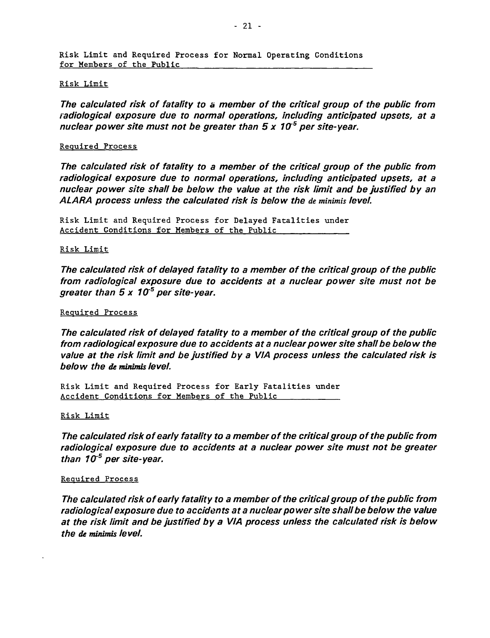# Risk Limit

**The calculated risk of fatality to a member of the critical group of the public from radiological exposure due to normal operations, including anticipated upsets, at a** nuclear power site must not be greater than 5 x 10<sup>-5</sup> per site-year.

# Required Process

**The calculated risk of fatality to a member of the critical group of the public from radiological exposure due to normal operations, including anticipated upsets, at a nuclear power site shall be below the value at the risk limit and be justified by an ALARA process unless the calculated risk is below the de minimis level.**

Risk Limit and Required Process for Delayed Fatalities under Accident Conditions for Members of the Public

# Risk Limit

**The calculated risk of delayed fatality to a member of the critical group of the public from radiological exposure due to accidents at a nuclear power site must not be greater than 5 x 1CT<sup>5</sup> per site-year.**

# Required Process

**The calculated risk of delayed fatality to a member of the critical group of the public from radiological exposure due to accidents at a nuclear power site shall be below the value at the risk limit and be justified by a VIA process unless the calculated risk is below the de minimis level.**

Risk Limit and Required Process for Early Fatalities under Accident Conditions for Members of the Public

# Risk Limit

**The calculated risk of early fatality to a member of the critical group of the public from radiological exposure due to accidents at a nuclear power site must not be greater than 1CT<sup>5</sup> per site-year.**

# Required Process

**The calculated risk of early fatality to a member of the critical group of the public from radiological exposure due to accidents at a nuclear power site shall be below the value at the risk limit and be justified by a VIA process unless the calculated risk is below the de minimis level.**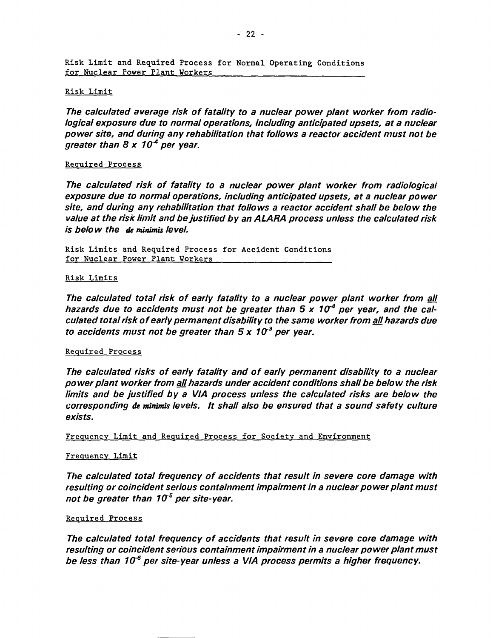Risk Limit and Required Process for Normal Operating Conditions for Nuclear Power Plant Workers

# Risk Limit

**The calculated average risk of fatality to a nuclear power plant worker from radiological exposure due to normal operations, including anticipated upsets, at a nuclear power site, and during any rehabilitation that follows a reactor accident must not be greater than 8 x Iff<sup>4</sup> per year.**

# Required Process

**The calculated risk of fatality to a nuclear power plant worker from radiological exposure due to normal operations, including anticipated upsets, at a nuclear power site, and during any rehabilitation that follows a reactor accident shall be below the value at the risk limit and be justified by an ALARA process unless the calculated risk is below the de minimis level.**

Risk Limits and Required Process for Accident Conditions for Nuclear Power Plant Workers

# Risk Limits

**The calculated total risk of early fatality to a nuclear power plant worker from all** hazards due to accidents must not be greater than 5 x 10<sup>4</sup> per year, and the cal**culated total risk of early permanent disability to the same worker from all hazards due to accidents must not be greater than 5 x Iff<sup>3</sup> per year.**

# Required Process

**The calculated risks of early fatality and of early permanent disability to a nuclear power plant worker from aj[ hazards under accident conditions shall be below the risk limits and be justified by a VIA process unless the calculated risks are below the corresponding de minîmis levels. It shall also be ensured that a sound safety culture exists.**

Frequency Limit and Required Process for Society and Environment

# Frequency Limit

**The calculated total frequency of accidents that result in severe core damage with resulting or coincident serious containment impairment in a nuclear power plant must not be greater than Iff<sup>5</sup> per site-year.**

# Required Process

**The calculated total frequency of accidents that result in severe core damage with resulting or coincident serious containment impairment in a nuclear power plant must** be less than 10<sup>6</sup> per site-year unless a VIA process permits a higher frequency.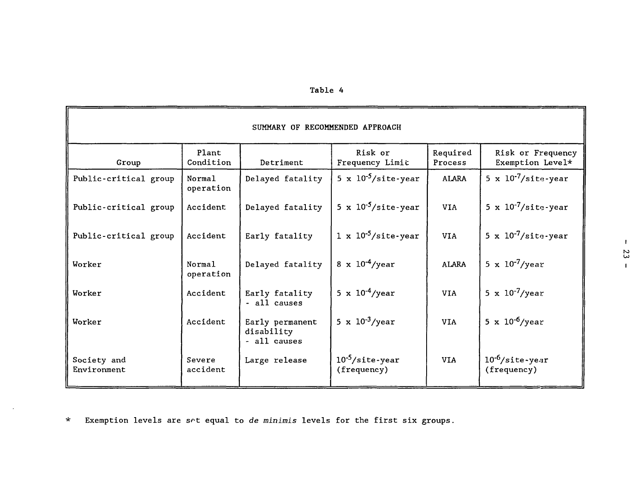| Table |  |  |  |  |
|-------|--|--|--|--|
|-------|--|--|--|--|

| SUMMARY OF RECOMMENDED APPROACH |                     |                                               |                                           |                     |                                           |  |
|---------------------------------|---------------------|-----------------------------------------------|-------------------------------------------|---------------------|-------------------------------------------|--|
| Group                           | Plant<br>Condition  | Detriment                                     | Risk or<br>Frequency Limit                | Required<br>Process | Risk or Frequency<br>Exemption Level*     |  |
| Public-critical group           | Normal<br>operation | Delayed fatality                              | 5 x $10^{-5}/\text{site-year}$            | <b>ALARA</b>        | 5 x $10^{-7}/\text{site-year}$            |  |
| Public-critical group           | Accident            | Delayed fatality                              | 5 x $10^{-5}/\text{site-year}$            | <b>VIA</b>          | 5 x $10^{-7}/\text{site-year}$            |  |
| Public-critical group           | Accident            | Early fatality                                | $1 \times 10^{-5}/\text{site-year}$       | VIA                 | 5 x $10^{-7}/\text{site-year}$            |  |
| Worker                          | Normal<br>operation | Delayed fatality                              | 8 x $10^{-4}$ /year                       | <b>ALARA</b>        | 5 x $10^{-7}$ /year                       |  |
| Worker                          | Accident            | Early fatality<br>- all causes                | 5 x $10^{-4}$ /year                       | <b>VIA</b>          | 5 x $10^{-7}$ /year                       |  |
| Worker                          | Accident            | Early permanent<br>disability<br>- all causes | 5 x $10^{-3}$ /year                       | <b>VIA</b>          | 5 x $10^{-6}$ /year                       |  |
| Society and<br>Environment      | Severe<br>accident  | Large release                                 | $10^{-5}/\text{site-year}$<br>(frequency) | <b>VIA</b>          | $10^{-6}/\text{site-year}$<br>(frequency) |  |

\* Exemption levels are set equal to de minimis levels for the first six groups.

 $\sim$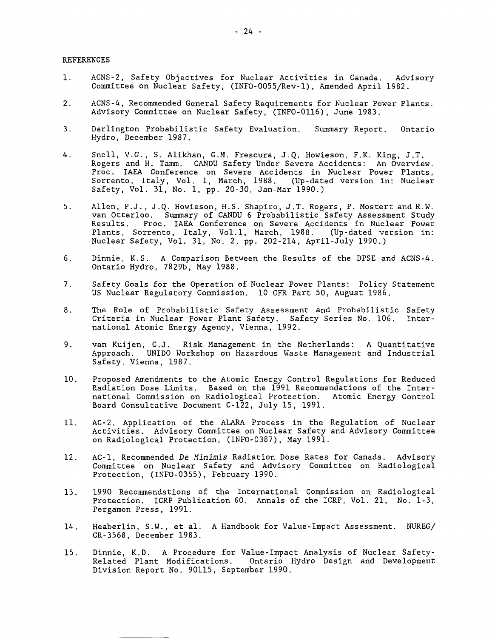#### REFERENCES

- 1. ACNS-2, Safety Objectives for Nuclear Activities in Canada. Advisory Committee on Nuclear Safety, (INFO-0055/Rev-l), Amended April 1982.
- 2. ACNS-4, Recommended General Safety Requirements for Nuclear Power Plants. Advisory Committee on Nuclear Safety, (INFO-0116), June 1983.
- 3. Darlington Probabilistic Safety Evaluation. Summary Report. Ontario Hydro, December 1987.
- 4. Snell, V.G., S. Alikhan, G.M. Frescura, J.Q. Howieson, F.K. King, J.T. Rogers and H. Tamm. CANDU Safety Under Severe Accidents: An Overview. Proc. IAEA Conference on Severe Accidents in Nuclear Power Plants, Sorrento, Italy, Vol. 1, March, 1988. (Up-dated version in: Nuclear Safety, Vol. 31, No. 1, pp. 20-30, Jan-Mar 1990.)
- 5. Allen, P.J., J.Q. Howieson, H.S. Shapiro, J.T. Rogers, P. Mostert and R.W. van Otterloo. Summary of CANDU 6 Probabilistic Safety Assessment Study Proc. IAEA Conference on Severe Accidents in Nuclear Power<br>rrento, Italy, Vol.1, March, 1988. (Up-dated version in: Plants, Sorrento, Italy, Vol.1, March, 1988. Nuclear Safety, Vol. 31, No. 2, pp. 202-214, April-July 1990.)
- 6. Dinnie, K.S. A Comparison Between the Results of the DPSE and ACNS-4. Ontario Hydro, 7829b, May 1988.
- 7. Safety Goals for the Operation of Nuclear Power Plants: Policy Statement US Nuclear Regulatory Commission. 10 CFR Part 50, August 1986.
- 8. The Role of Probabilistic Safety Assessment and Probabilistic Safety Criteria in Nuclear Power Plant Safety. Safety Series No. 106. International Atomic Energy Agency, Vienna, 1992.
- 9. van Kuijen, C.J. Risk Management in the Netherlands: A Quantitative Approach. UNIDO Workshop on Hazardous Waste Management and Industrial Safety, Vienna, 1987.
- 10. Proposed Amendments to the Atomic Energy Control Regulations for Reduced Radiation Dose Limits. Based on the 1991 Recommendations of the International Commission on Radiological Protection. Atomic Energy Control Board Consultative Document C-122, July 15, 1991.
- 11. AC-2, Application of the ALARA Process in the Regulation of Nuclear Activities. Advisory Committee on Nuclear Safety and Advisory Committee on Radiological Protection, (INFO-0387), May 1991.
- 12. AC-1, Recommended De Minimis Radiation Dose Rates for Canada. Advisory Committee on Nuclear Safety and Advisory Committee on Radiological Protection, (INFO-0355), February 1990.
- 13. 1990 Recommendations of the International Commission on Radiological Protection. ICRP Publication 60. Annals of the ICRP, Vol. 21, No. 1-3, Fergamon Press, 1991.
- 14. Heaberlin, S.W., et al. A Handbook for Value-Impact Assessment. NUREG/ CR-3568, December 1983.
- 15. Dinnie, K.D. A Procedure for Value-Impact Analysis of Nuclear Safety-Related Plant Modifications. Ontario Hydro Design and Development Division Report No. 90115, September 1990.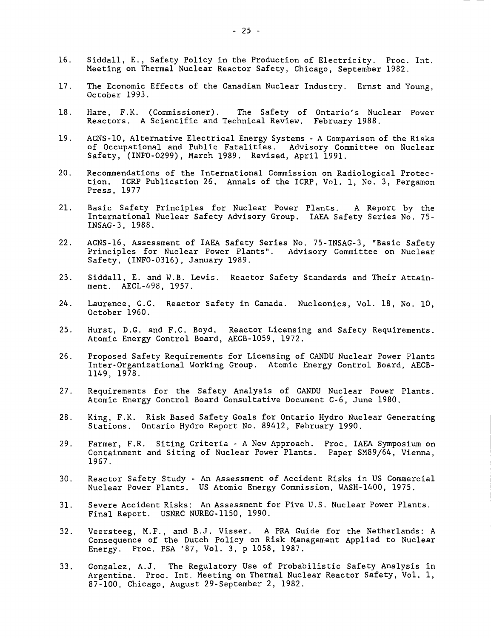- 16. Siddall, E., Safety Policy in the Production of Electricity. Proc. Int. Meeting on Thermal Nuclear Reactor Safety, Chicago, September 1982.
- 17. The Economic Effects of the Canadian Nuclear Industry. Ernst and Young, October 1993.
- 18. Hare, F.K. (Commissioner). The Safety of Ontario's Nuclear Power Reactors. A Scientific and Technical Review. February 1988.
- 19. ACNS-10, Alternative Electrical Energy Systems A Comparison of the Risks of Occupational and Public Fatalities. Advisory Committee on Nuclear Safety, (INFO-0299), March 1989. Revised, April 1991.
- 20. Recommendations of the International Commission on Radiological Protection. ICRP Publication 26. Annals of the ICRP, Vol. 1, No. 3, Pergamon Press, 1977
- 21. Basic Safety Principles for Nuclear Power Plants. A Report by the International Nuclear Safety Advisory Group. IAEA Safety Series No. 75- INSAG-3, 1988.
- 22. ACNS-16, Assessment of IAEA Safety Series No. 75-INSAG-3, "Basic Safety Principles for Nuclear Power Plants". Safety, (INFO-0316), January 1989.
- 23. Siddall, E. and W.B. Lewis. Reactor Safety Standards and Their Attainment. AECL-498, 1957.
- 24. Laurence, G.C. Reactor Safety in Canada. Nucleonics, Vol. 18, No. 10, October 1960.
- 25. Hurst, D.G. and F.C. Boyd. Reactor Licensing and Safety Requirements. Atomic Energy Control Board, AECB-1059, 1972.
- 26. Proposed Safety Requirements for Licensing of CANDU Nuclear Power Plants Inter-Organizational Working Group. Atomic Energy Control Board, AECB-1149, 1978.
- 27. Requirements for the Safety Analysis of CANDU Nuclear Power Plants. Atomic Energy Control Board Consultative Document C-6, June 1980.
- 28. King, F.K. Risk Based Safety Goals for Ontario Hydro Nuclear Generating Stations. Ontario Hydro Report No. 89412, February 1990.
- 29. Farmer, F.R. Siting Criteria A New Approach. Proc. IAEA Symposium on Containment and Siting of Nuclear Power Plants. Paper SM89/64, Vienna, 1967.
- 30. Reactor Safety Study An Assessment of Accident Risks in US Commercial Nuclear Power Plants. US Atomic Energy Commission, WASH-1400, 1975.
- 31. Severe Accident Risks: An Assessment for Five U.S. Nuclear Power Plants. Final Report. USNRC NUREG-1150, 1990.
- 32. Veersteeg, M.F., and B.J. Visser. A PRA Guide for the Netherlands: A Consequence of the Dutch Policy on Risk Management Applied to Nuclear Energy. Proc. PSA '87, Vol. 3, p 1058, 1987.
- 33. Gonzalez, A.J. The Regulatory Use of Probabilistic Safety Analysis in Argentina. Proc. Int. Meeting on Thermal Nuclear Reactor Safety, Vol. 1, 87-100, Chicago, August 29-September 2, 1982.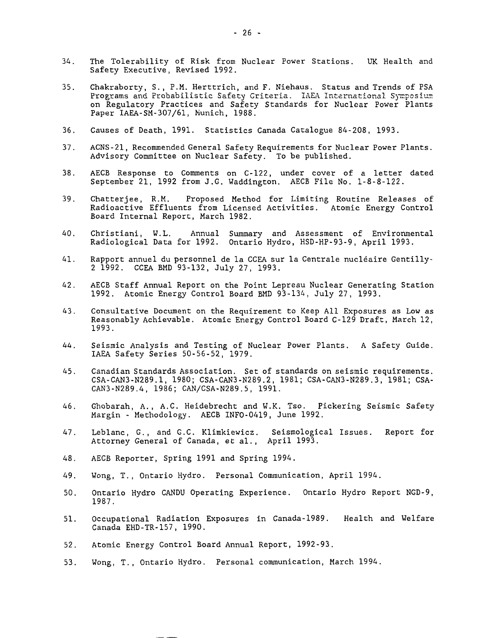- 34. The Tolerability of Risk from Nuclear Power Stations. UK Health and Safety Executive, Revised 1992.
- 35. Chakraborty, S., P.M. Herttrich, and F. Niehaus. Status and Trends of PSA Programs and Probabilistic Safety Criteria. IAEA International Symposium on Regulatory Practices and Safety Standards for Nuclear Power Plants Paper IAEA-SM-307/61, Munich, 1988.
- 36. Causes of Death, 1991. Statistics Canada Catalogue 84-208, 1993.
- 37. ACNS-21, Recommended General Safety Requirements for Nuclear Power Plants. Advisory Committee on Nuclear Safety. To be published.
- 38. AECB Response to Comments on C-122, under cover of a letter dated September 21, 1992 from J.G. Waddington. AECB File No. 1-8-8-122.
- 39. Chatterjee, R.M. Proposed Method for Limiting Routine Releases of Radioactive Effluents from Licensed Activities. Atomic Energy Control Board Internal Report, March 1982.
- 40. Christiani, W.L. Annual Summary and Assessment of Environmental Radiological Data for 1992. Ontario Hydro, HSD-HP-93-9, April 1993.
- 41. Rapport annuel du personnel de la CCEA sur la Centrale nucléaire Gentilly-2 1992. CCEA BMD 93-132, July 27, 1993.
- 42. AECB Staff Annual Report on the Point Lepreau Nuclear Generating Station 1992. Atomic Energy Control Board BMD 93-134, July 27, 1993.
- 43. Consultative Document on the Requirement to Keep All Exposures as Low as Reasonably Achievable. Atomic Energy Control Board C-129 Draft, March 12, 1993.
- 44. Seismic Analysis and Testing of Nuclear Power Plants. A Safety Guide. IAEA Safety Series 50-56-52, 1979.
- 45. Canadian Standards Association. Set of standards on seismic requirements. CSA-CAN3-N289.1, 1980; CSA-CAN3-N289.2, 1981; CSA-CAN3-N289.3, 1981; CSA-CAN3-N289.4, 1986; CAN/CSA-N289.5, 1991.
- 46. Ghobarah, A., A.C. Heidebrecht and W.K. Tso. Pickering Seismic Safety Margin - Methodology. AECB INFO-0419, June 1992.
- 47. Leblanc, G., and G.C. Klimkiewicz. Seismological Issues. Report for Attorney General of Canada, et al., April 1993.
- 48. AECB Reporter, Spring 1991 and Spring 1994.
- 49. Wong, T., Ontario Hydro. Personal Communication, April 1994.
- 50. Ontario Hydro CANDU Operating Experience. Ontario Hydro Report NGD-9, 1987.
- 51. Occupational Radiation Exposures in Canada-1989. Health and Welfare Canada EHD-TR-157, 1990.
- 52. Atomic Energy Control Board Annual Report, 1992-93.
- 53. Wong, T., Ontario Hydro. Personal communication, March 1994.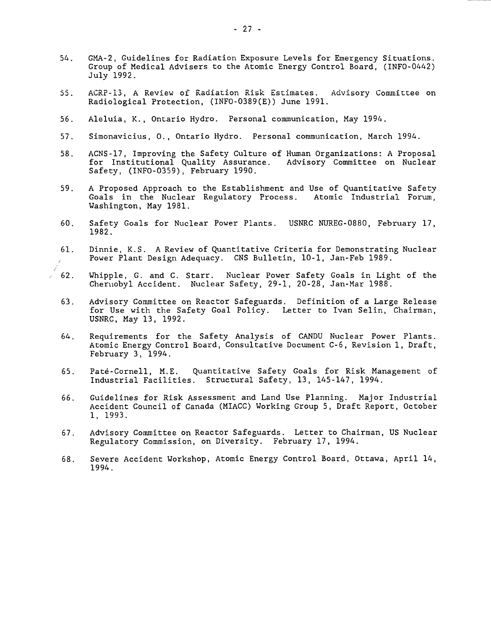- 54. GMA-2, Guidelines for Radiation Exposure Levels for Emergency Situations. Group of Medical Advisers to the Atomic Energy Control Board, (INFO-0442) July 1992.
- 55. ACRE-13, A Review of Radiation Risk Estimates. Advisory Committee on Radiological Protection, (INFO-0389(E)) June 1991.
- 56. Aleluia, K., Ontario Hydro. Personal communication, May 1994.
- 57. Simonavicius, 0., Ontario Hydro. Personal communication, March 1994.
- 58. ACNS-17, Improving the Safety Culture of Human Organizations: A Proposal for Institutional Quality Assurance. Advisory Committee on Nuclear Safety, (INFO-0359), February 1990.
- 59. A Proposed Approach to the Establishment and Use of Quantitative Safety<br>Goals in the Nuclear Regulatory Process. Atomic Industrial Forum, Goals in the Nuclear Regulatory Process. Washington, May 1981.
- 60. Safety Goals for Nuclear Power Plants. USNRC NUREG-0880, February 17, 1982.
- 61. Dinnie, K.S. A Review of Quantitative Criteria for Demonstrating Nuclear Power Plant Design Adequacy. CNS Bulletin, 10-1, Jan-Feb 1989.
- 62. Whipple, G. and C. Starr. Nuclear Power Safety Goals in Light of the Chernobyl Accident. Nuclear Safety, 29-1, 20-28, Jan-Mar 1988.
- 63. Advisory Committee on Reactor Safeguards. Definition of a Large Release for Use with the Safety Goal Policy. Letter to Ivan Selin, Chairman, USNRC, May 13, 1992.
- 64. Requirements for the Safety Analysis of CANDU Nuclear Power Plants. Atomic Energy Control Board, Consultative Document C-6, Revision 1, Draft, February 3, 1994.
- 65. Paté-Cornell, M.E. Quantitative Safety Goals for Risk Management of Industrial Facilities. Structural Safety, 13, 145-147, 1994.
- 66. Guidelines for Risk Assessment and Land Use Planning. Major Industrial Accident Council of Canada (MIACC) Working Group 5, Draft Report, October 1, 1993.
- 67. Advisory Committee on Reactor Safeguards. Letter to Chairman, US Nuclear Regulatory Commission, on Diversity. February 17, 1994.
- 68. Severe Accident Workshop, Atomic Energy Control Board, Ottawa, April 14, 1994.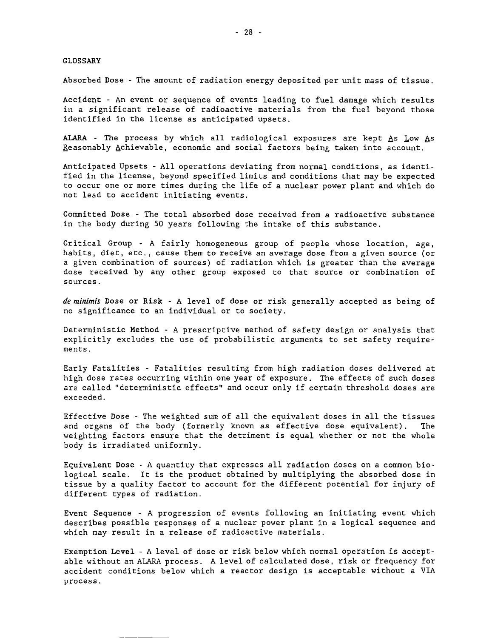#### GLOSSARY

Absorbed Dose - The amount of radiation energy deposited per unit mass of tissue.

Accident - An event or sequence of events leading to fuel damage which results in a significant release of radioactive materials from the fuel beyond those identified in the license as anticipated upsets.

ALARA - The process by which all radiological exposures are kept As Low As Reasonably Achievable, economic and social factors being taken into account.

Anticipated Upsets - All operations deviating from normal conditions, as identified in the license, beyond specified limits and conditions that may be expected to occur one or more times during the life of a nuclear power plant and which do not lead to accident initiating events.

Committed Dose - The total absorbed dose received from a radioactive substance in the body during 50 years following the intake of this substance.

Critical Group - A fairly homogeneous group of people whose location, age, habits, diet, etc., cause them to receive an average dose from a given source (or a given combination of sources) of radiation which is greater than the average dose received by any other group exposed to that source or combination of sources.

de minimis Dose or Risk - A level of dose or risk generally accepted as being of no significance to an individual or to society.

Deterministic Method - A prescriptive method of safety design or analysis that explicitly excludes the use of probabilistic arguments to set safety requirements .

Early Fatalities - Fatalities resulting from high radiation doses delivered at high dose rates occurring within one year of exposure. The effects of such doses are called "deterministic effects" and occur only if certain threshold doses are exceeded.

Effective Dose - The weighted sum of all the equivalent doses in all the tissues and organs of the body (formerly known as effective dose equivalent). The weighting factors ensure that the detriment is equal whether or not the whole body is irradiated uniformly.

Equivalent Dose - A quantity that expresses all radiation doses on a common biological scale. It is the product obtained by multiplying the absorbed dose in tissue by a quality factor to account for the different potential for injury of different types of radiation.

Event Sequence - A progression of events following an initiating event which describes possible responses of a nuclear power plant in a logical sequence and which may result in a release of radioactive materials.

Exemption Level - A level of dose or risk below which normal operation is acceptable without an ALARA process. A level of calculated dose, risk or frequency for accident conditions below which a reactor design is acceptable without a VIA process.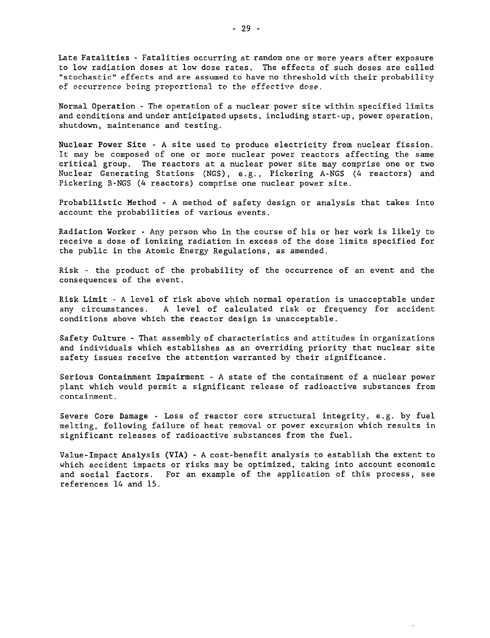Late Fatalities - Fatalities occurring at random one or more years after exposure to low radiation doses at low dose rates. The effects of such doses are called "stochastic" effects and are assumed to have no threshold with their probability of occurrence being proportional to the effective dose.

Normal Operation - The operation of a nuclear power site within specified limits and conditions and under anticipated upsets, including start-up, power operation, shutdown, maintenance and testing.

Nuclear Power Site - A site used to produce electricity from nuclear fission. It may be composed of one or more nuclear power reactors affecting the same critical group. The reactors at a nuclear power site may comprise one or two Nuclear Generating Stations (NGS), e.g., Pickering A-NGS (4 reactors) and Pickering B-NGS (4 reactors) comprise one nuclear power site.

Probabilistic Method - A method of safety design or analysis that takes into account the probabilities of various events.

Radiation Worker - Any person who in the course of his or her work is likely to receive a dose of ionizing radiation in excess of the dose limits specified for the public in the Atomic Energy Regulations, as amended.

Risk - the product of the probability of the occurrence of an event and the consequences of the event.

Risk Limit - A level of risk above which normal operation is unacceptable under any circumstances. A level of calculated risk or frequency for accident conditions above which the reactor design is unacceptable.

Safety Culture - That assembly of characteristics and attitudes in organizations and individuals which establishes as an overriding priority that nuclear site safety issues receive the attention warranted by their significance.

Serious Containment Impairment - A state of the containment of a nuclear power plant which would permit a significant release of radioactive substances from containment.

Severe Core Damage - Loss of reactor core structural integrity, e.g. by fuel melting, following failure of heat removal or power excursion which results in significant releases of radioactive substances from the fuel.

Value-Impact Analysis (VIA) - A cost-benefit analysis to establish the extent to which accident impacts or risks may be optimized, taking into account economic and social factors. For an example of the application of this process, see references 14 and 15.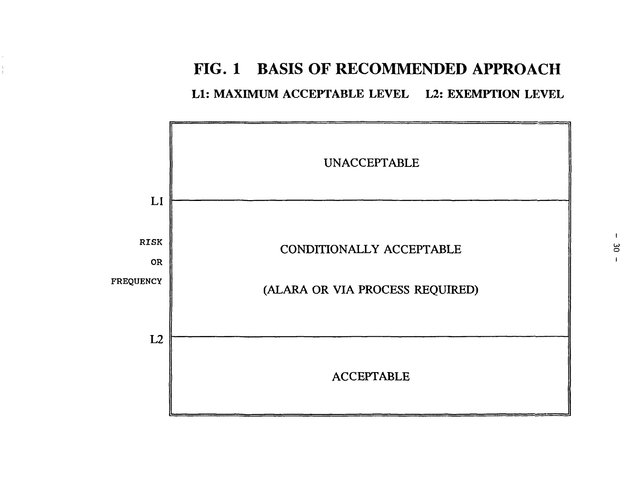# **FIG. 1 BASIS OF RECOMMENDED APPROACH**

Ll: MAXIMUM ACCEPTABLE LEVEL L2: EXEMPTION LEVEL